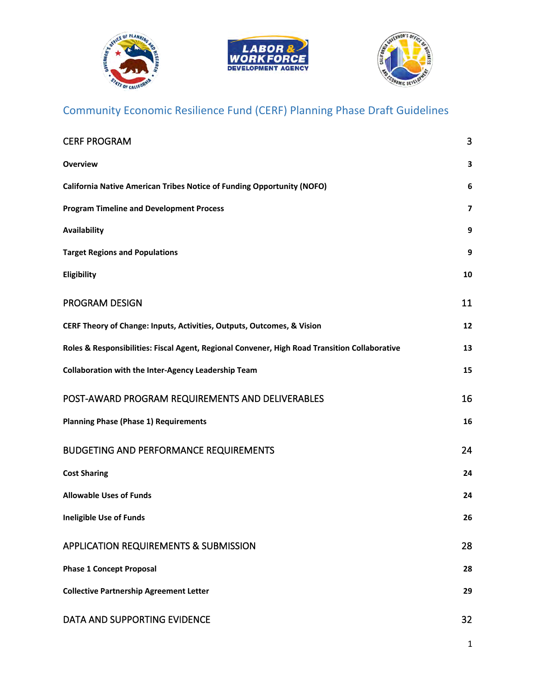





# Community Economic Resilience Fund (CERF) Planning Phase Draft Guidelines

| <b>CERF PROGRAM</b>                                                                           | 3              |
|-----------------------------------------------------------------------------------------------|----------------|
| <b>Overview</b>                                                                               | 3              |
| California Native American Tribes Notice of Funding Opportunity (NOFO)                        | 6              |
| <b>Program Timeline and Development Process</b>                                               | $\overline{7}$ |
| Availability                                                                                  | 9              |
| <b>Target Regions and Populations</b>                                                         | 9              |
| Eligibility                                                                                   | 10             |
| <b>PROGRAM DESIGN</b>                                                                         | 11             |
| CERF Theory of Change: Inputs, Activities, Outputs, Outcomes, & Vision                        | 12             |
| Roles & Responsibilities: Fiscal Agent, Regional Convener, High Road Transition Collaborative | 13             |
| <b>Collaboration with the Inter-Agency Leadership Team</b>                                    | 15             |
| POST-AWARD PROGRAM REQUIREMENTS AND DELIVERABLES                                              | 16             |
| <b>Planning Phase (Phase 1) Requirements</b>                                                  | 16             |
| <b>BUDGETING AND PERFORMANCE REQUIREMENTS</b>                                                 | 24             |
| <b>Cost Sharing</b>                                                                           | 24             |
| <b>Allowable Uses of Funds</b>                                                                | 24             |
| <b>Ineligible Use of Funds</b>                                                                | 26             |
| <b>APPLICATION REQUIREMENTS &amp; SUBMISSION</b>                                              | 28             |
| <b>Phase 1 Concept Proposal</b>                                                               | 28             |
| <b>Collective Partnership Agreement Letter</b>                                                | 29             |
| DATA AND SUPPORTING EVIDENCE                                                                  | 32             |

1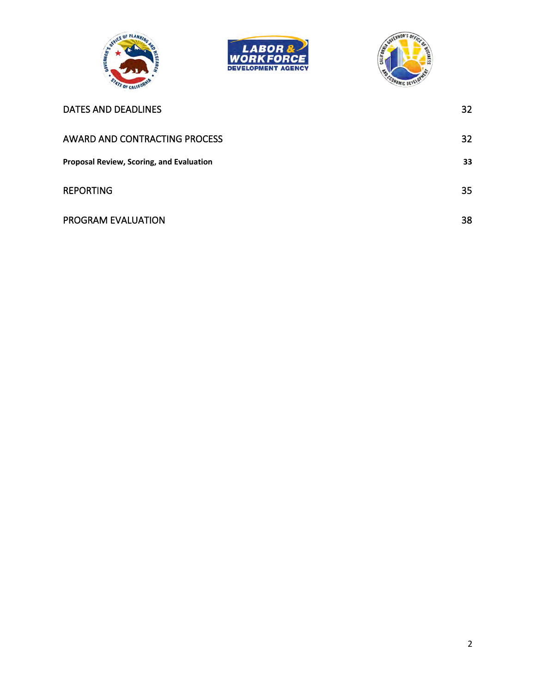





| <b>DATES AND DEADLINES</b>                      | 32 |
|-------------------------------------------------|----|
| AWARD AND CONTRACTING PROCESS                   | 32 |
| <b>Proposal Review, Scoring, and Evaluation</b> | 33 |
| <b>REPORTING</b>                                | 35 |
| PROGRAM EVALUATION                              | 38 |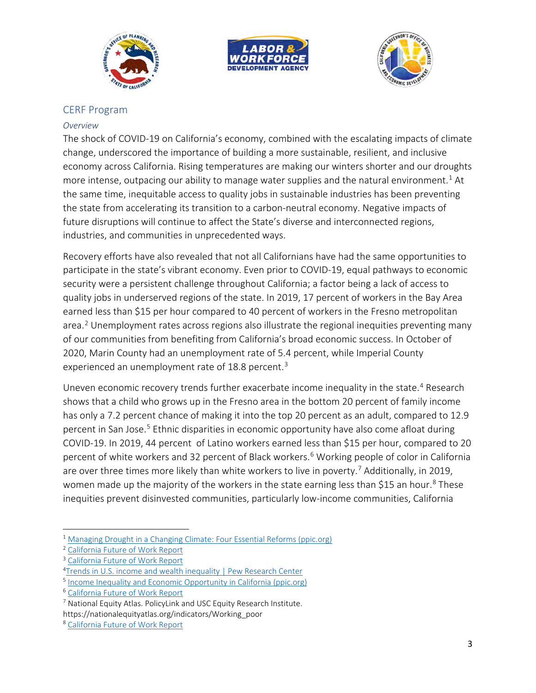





#### <span id="page-2-0"></span>CERF Program

#### <span id="page-2-1"></span>*Overview*

The shock of COVID-19 on California's economy, combined with the escalating impacts of climate change, underscored the importance of building a more sustainable, resilient, and inclusive economy across California. Rising temperatures are making our winters shorter and our droughts more intense, outpacing our ability to manage water supplies and the natural environment.<sup>[1](#page-2-2)</sup> At the same time, inequitable access to quality jobs in sustainable industries has been preventing the state from accelerating its transition to a carbon-neutral economy. Negative impacts of future disruptions will continue to affect the State's diverse and interconnected regions, industries, and communities in unprecedented ways.

Recovery efforts have also revealed that not all Californians have had the same opportunities to participate in the state's vibrant economy. Even prior to COVID-19, equal pathways to economic security were a persistent challenge throughout California; a factor being a lack of access to quality jobs in underserved regions of the state. In 2019, 17 percent of workers in the Bay Area earned less than \$15 per hour compared to 40 percent of workers in the Fresno metropolitan area.<sup>[2](#page-2-3)</sup> Unemployment rates across regions also illustrate the regional inequities preventing many of our communities from benefiting from California's broad economic success. In October of 2020, Marin County had an unemployment rate of 5.4 percent, while Imperial County experienced an unemployment rate of 18.8 percent.<sup>[3](#page-2-4)</sup>

Uneven economic recovery trends further exacerbate income inequality in the state.<sup>[4](#page-2-5)</sup> Research shows that a child who grows up in the Fresno area in the bottom 20 percent of family income has only a 7.2 percent chance of making it into the top 20 percent as an adult, compared to 12.9 percent in San Jose.<sup>[5](#page-2-6)</sup> Ethnic disparities in economic opportunity have also come afloat during COVID-19. In 2019, 44 percent of Latino workers earned less than \$15 per hour, compared to 20 percent of white workers and 32 percent of Black workers.<sup>[6](#page-2-7)</sup> Working people of color in California are over three times more likely than white workers to live in poverty.<sup>[7](#page-2-8)</sup> Additionally, in 2019, women made up the majority of the workers in the state earning less than \$15 an hour.<sup>[8](#page-2-9)</sup> These inequities prevent disinvested communities, particularly low-income communities, California

<span id="page-2-2"></span><sup>&</sup>lt;sup>1</sup> [Managing Drought in a Changing Climate: Four Essential Reforms \(ppic.org\)](https://www.ppic.org/wp-content/uploads/managing-drought-in-a-changing-climate-four-essential-reforms-september-2018.pdf)

<span id="page-2-3"></span><sup>2</sup> [California Future of Work Report](https://www.labor.ca.gov/wp-content/uploads/sites/338/2021/02/ca-future-of-work-report.pdf)

<span id="page-2-4"></span><sup>3</sup> [California Future of Work Report](https://www.labor.ca.gov/wp-content/uploads/sites/338/2021/02/ca-future-of-work-report.pdf)

<span id="page-2-5"></span><sup>&</sup>lt;sup>4</sup>[Trends in U.S. income and wealth inequality | Pew Research Center](https://www.pewresearch.org/social-trends/2020/01/09/trends-in-income-and-wealth-inequality/)

<span id="page-2-6"></span><sup>&</sup>lt;sup>5</sup> [Income Inequality and Economic Opportunity in California \(ppic.org\)](https://www.ppic.org/wp-content/uploads/incoming-inequality-and-economic-opportunity-in-california-december-2020.pdf)

<span id="page-2-7"></span><sup>6</sup> [California Future of Work](https://www.labor.ca.gov/wp-content/uploads/sites/338/2021/02/ca-future-of-work-report.pdf) Report

<span id="page-2-8"></span><sup>&</sup>lt;sup>7</sup> National Equity Atlas. PolicyLink and USC Equity Research Institute. https://nationalequityatlas.org/indicators/Working\_poor

<span id="page-2-9"></span><sup>8</sup> [California Future of Work Report](https://www.labor.ca.gov/wp-content/uploads/sites/338/2021/02/ca-future-of-work-report.pdf)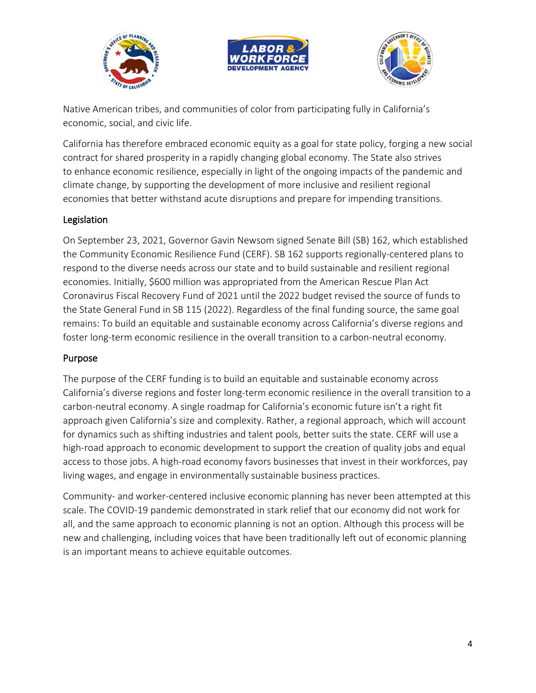





Native American tribes, and communities of color from participating fully in California's economic, social, and civic life.

California has therefore embraced economic equity as a goal for state policy, forging a new social contract for shared prosperity in a rapidly changing global economy. The State also strives to enhance economic resilience, especially in light of the ongoing impacts of the pandemic and climate change, by supporting the development of more inclusive and resilient regional economies that better withstand acute disruptions and prepare for impending transitions.

### Legislation

On September 23, 2021, Governor Gavin Newsom signed Senate Bill (SB) 162, which established the Community Economic Resilience Fund (CERF). SB 162 supports regionally-centered plans to respond to the diverse needs across our state and to build sustainable and resilient regional economies. Initially, \$600 million was appropriated from the American Rescue Plan Act Coronavirus Fiscal Recovery Fund of 2021 until the 2022 budget revised the source of funds to the State General Fund in SB 115 (2022). Regardless of the final funding source, the same goal remains: To build an equitable and sustainable economy across California's diverse regions and foster long-term economic resilience in the overall transition to a carbon-neutral economy.

#### Purpose

The purpose of the CERF funding is to build an equitable and sustainable economy across California's diverse regions and foster long-term economic resilience in the overall transition to a carbon-neutral economy. A single roadmap for California's economic future isn't a right fit approach given California's size and complexity. Rather, a regional approach, which will account for dynamics such as shifting industries and talent pools, better suits the state. CERF will use a high-road approach to economic development to support the creation of quality jobs and equal access to those jobs. A high-road economy favors businesses that invest in their workforces, pay living wages, and engage in environmentally sustainable business practices.

Community- and worker-centered inclusive economic planning has never been attempted at this scale. The COVID-19 pandemic demonstrated in stark relief that our economy did not work for all, and the same approach to economic planning is not an option. Although this process will be new and challenging, including voices that have been traditionally left out of economic planning is an important means to achieve equitable outcomes.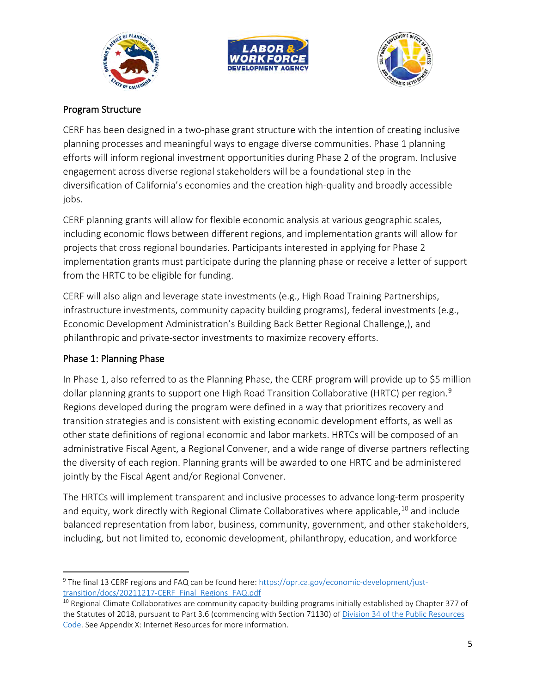





### Program Structure

CERF has been designed in a two-phase grant structure with the intention of creating inclusive planning processes and meaningful ways to engage diverse communities. Phase 1 planning efforts will inform regional investment opportunities during Phase 2 of the program. Inclusive engagement across diverse regional stakeholders will be a foundational step in the diversification of California's economies and the creation high-quality and broadly accessible jobs.

CERF planning grants will allow for flexible economic analysis at various geographic scales, including economic flows between different regions, and implementation grants will allow for projects that cross regional boundaries. Participants interested in applying for Phase 2 implementation grants must participate during the planning phase or receive a letter of support from the HRTC to be eligible for funding.

CERF will also align and leverage state investments (e.g., High Road Training Partnerships, infrastructure investments, community capacity building programs), federal investments (e.g., Economic Development Administration's Building Back Better Regional Challenge,), and philanthropic and private-sector investments to maximize recovery efforts.

### Phase 1: Planning Phase

In Phase 1, also referred to as the Planning Phase, the CERF program will provide up to \$5 million dollar planning grants to support one High Road Transition Collaborative (HRTC) per region.<sup>[9](#page-4-0)</sup> Regions developed during the program were defined in a way that prioritizes recovery and transition strategies and is consistent with existing economic development efforts, as well as other state definitions of regional economic and labor markets. HRTCs will be composed of an administrative Fiscal Agent, a Regional Convener, and a wide range of diverse partners reflecting the diversity of each region. Planning grants will be awarded to one HRTC and be administered jointly by the Fiscal Agent and/or Regional Convener.

The HRTCs will implement transparent and inclusive processes to advance long-term prosperity and equity, work directly with Regional Climate Collaboratives where applicable,  $10$  and include balanced representation from labor, business, community, government, and other stakeholders, including, but not limited to, economic development, philanthropy, education, and workforce

<span id="page-4-0"></span><sup>&</sup>lt;sup>9</sup> The final 13 CERF regions and FAQ can be found here: https://opr.ca.gov/economic-development/just-<br>transition/docs/20211217-CERF Final Regions FAQ.pdf

<span id="page-4-1"></span> $10$  Regional Climate Collaboratives are community capacity-building programs initially established by Chapter 377 of the Statutes of 2018, pursuant to Part 3.6 (commencing with Section 71130) of Division 34 of the Public Resources [Code.](https://leginfo.legislature.ca.gov/faces/codes_displayText.xhtml?lawCode=PRC&division=34.&title=&part=3.6.&chapter=&article=) See Appendix X: Internet Resources for more information.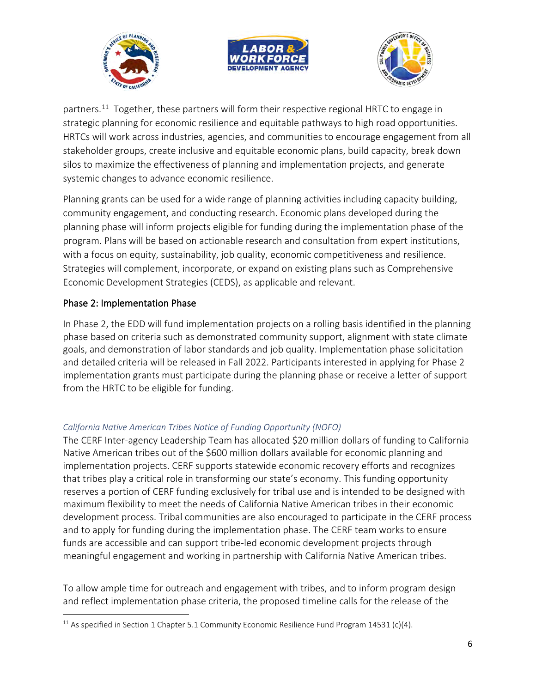





partners.<sup>[11](#page-5-1)</sup> Together, these partners will form their respective regional HRTC to engage in strategic planning for economic resilience and equitable pathways to high road opportunities. HRTCs will work across industries, agencies, and communities to encourage engagement from all stakeholder groups, create inclusive and equitable economic plans, build capacity, break down silos to maximize the effectiveness of planning and implementation projects, and generate systemic changes to advance economic resilience.

Planning grants can be used for a wide range of planning activities including capacity building, community engagement, and conducting research. Economic plans developed during the planning phase will inform projects eligible for funding during the implementation phase of the program. Plans will be based on actionable research and consultation from expert institutions, with a focus on equity, sustainability, job quality, economic competitiveness and resilience. Strategies will complement, incorporate, or expand on existing plans such as Comprehensive Economic Development Strategies (CEDS), as applicable and relevant.

### Phase 2: Implementation Phase

In Phase 2, the EDD will fund implementation projects on a rolling basis identified in the planning phase based on criteria such as demonstrated community support, alignment with state climate goals, and demonstration of labor standards and job quality. Implementation phase solicitation and detailed criteria will be released in Fall 2022. Participants interested in applying for Phase 2 implementation grants must participate during the planning phase or receive a letter of support from the HRTC to be eligible for funding.

#### <span id="page-5-0"></span>*California Native American Tribes Notice of Funding Opportunity (NOFO)*

The CERF Inter-agency Leadership Team has allocated \$20 million dollars of funding to California Native American tribes out of the \$600 million dollars available for economic planning and implementation projects. CERF supports statewide economic recovery efforts and recognizes that tribes play a critical role in transforming our state's economy. This funding opportunity reserves a portion of CERF funding exclusively for tribal use and is intended to be designed with maximum flexibility to meet the needs of California Native American tribes in their economic development process. Tribal communities are also encouraged to participate in the CERF process and to apply for funding during the implementation phase. The CERF team works to ensure funds are accessible and can support tribe-led economic development projects through meaningful engagement and working in partnership with California Native American tribes.

To allow ample time for outreach and engagement with tribes, and to inform program design and reflect implementation phase criteria, the proposed timeline calls for the release of the

<span id="page-5-1"></span><sup>&</sup>lt;sup>11</sup> As specified in Section 1 Chapter 5.1 Community Economic Resilience Fund Program 14531 (c)(4).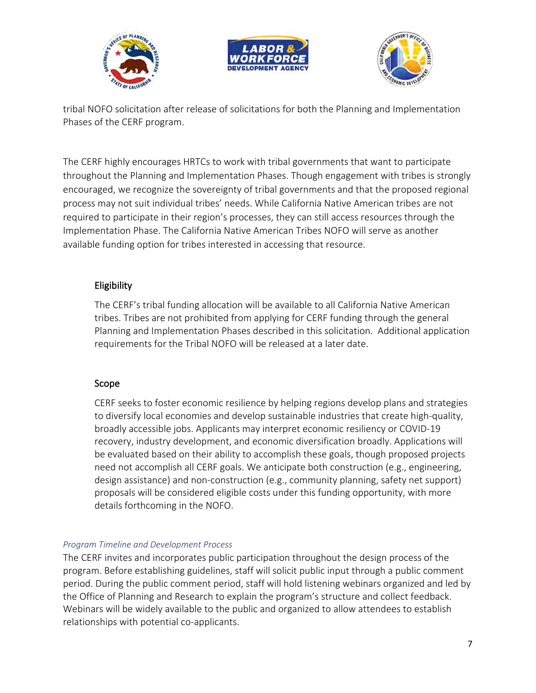





tribal NOFO solicitation after release of solicitations for both the Planning and Implementation Phases of the CERF program.

The CERF highly encourages HRTCs to work with tribal governments that want to participate throughout the Planning and Implementation Phases. Though engagement with tribes is strongly encouraged, we recognize the sovereignty of tribal governments and that the proposed regional process may not suit individual tribes' needs. While California Native American tribes are not required to participate in their region's processes, they can still access resources through the Implementation Phase. The California Native American Tribes NOFO will serve as another available funding option for tribes interested in accessing that resource.

# Eligibility

The CERF's tribal funding allocation will be available to all California Native American tribes. Tribes are not prohibited from applying for CERF funding through the general Planning and Implementation Phases described in this solicitation. Additional application requirements for the Tribal NOFO will be released at a later date.

### Scope

CERF seeks to foster economic resilience by helping regions develop plans and strategies to diversify local economies and develop sustainable industries that create high-quality, broadly accessible jobs. Applicants may interpret economic resiliency or COVID-19 recovery, industry development, and economic diversification broadly. Applications will be evaluated based on their ability to accomplish these goals, though proposed projects need not accomplish all CERF goals. We anticipate both construction (e.g., engineering, design assistance) and non-construction (e.g., community planning, safety net support) proposals will be considered eligible costs under this funding opportunity, with more details forthcoming in the NOFO.

### <span id="page-6-0"></span>*Program Timeline and Development Process*

The CERF invites and incorporates public participation throughout the design process of the program. Before establishing guidelines, staff will solicit public input through a public comment period. During the public comment period, staff will hold listening webinars organized and led by the Office of Planning and Research to explain the program's structure and collect feedback. Webinars will be widely available to the public and organized to allow attendees to establish relationships with potential co-applicants.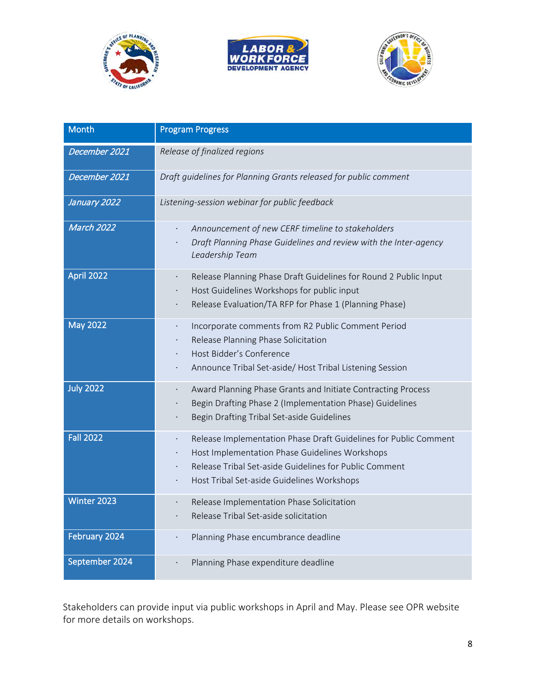





| <b>Month</b>      | <b>Program Progress</b>                                                                                                                                                                                                                                           |
|-------------------|-------------------------------------------------------------------------------------------------------------------------------------------------------------------------------------------------------------------------------------------------------------------|
| December 2021     | Release of finalized regions                                                                                                                                                                                                                                      |
| December 2021     | Draft guidelines for Planning Grants released for public comment                                                                                                                                                                                                  |
| January 2022      | Listening-session webinar for public feedback                                                                                                                                                                                                                     |
| <b>March 2022</b> | Announcement of new CERF timeline to stakeholders<br>$\cdot$<br>Draft Planning Phase Guidelines and review with the Inter-agency<br>Leadership Team                                                                                                               |
| April 2022        | Release Planning Phase Draft Guidelines for Round 2 Public Input<br>Host Guidelines Workshops for public input<br>$\bullet$<br>Release Evaluation/TA RFP for Phase 1 (Planning Phase)                                                                             |
| <b>May 2022</b>   | Incorporate comments from R2 Public Comment Period<br>$\bullet$<br>Release Planning Phase Solicitation<br>Host Bidder's Conference<br>$\bullet$<br>Announce Tribal Set-aside/ Host Tribal Listening Session<br>$\bullet$                                          |
| <b>July 2022</b>  | Award Planning Phase Grants and Initiate Contracting Process<br>Begin Drafting Phase 2 (Implementation Phase) Guidelines<br>$\bullet$<br>Begin Drafting Tribal Set-aside Guidelines<br>$\bullet$                                                                  |
| <b>Fall 2022</b>  | Release Implementation Phase Draft Guidelines for Public Comment<br>$\bullet$<br>Host Implementation Phase Guidelines Workshops<br>$\bullet$<br>Release Tribal Set-aside Guidelines for Public Comment<br>$\bullet$<br>Host Tribal Set-aside Guidelines Workshops |
| Winter 2023       | Release Implementation Phase Solicitation<br>$\bullet$<br>Release Tribal Set-aside solicitation                                                                                                                                                                   |
| February 2024     | Planning Phase encumbrance deadline                                                                                                                                                                                                                               |
| September 2024    | Planning Phase expenditure deadline<br>$\cdot$                                                                                                                                                                                                                    |

Stakeholders can provide input via public workshops in April and May. Please see OPR website for more details on workshops.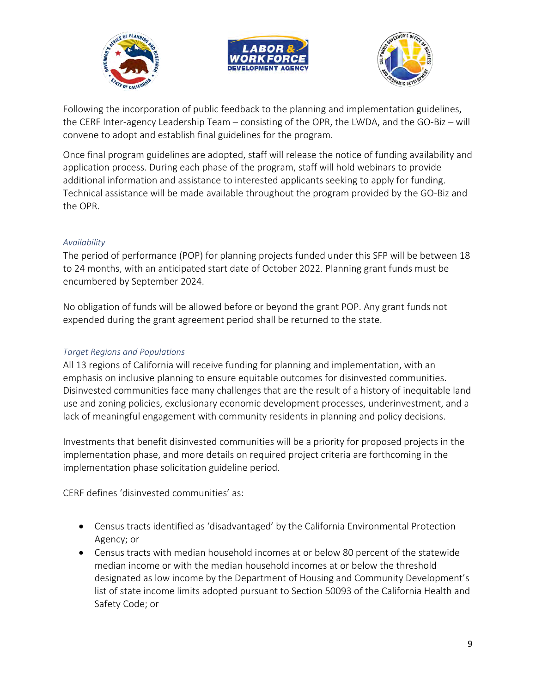





Following the incorporation of public feedback to the planning and implementation guidelines, the CERF Inter-agency Leadership Team – consisting of the OPR, the LWDA, and the GO-Biz – will convene to adopt and establish final guidelines for the program.

Once final program guidelines are adopted, staff will release the notice of funding availability and application process. During each phase of the program, staff will hold webinars to provide additional information and assistance to interested applicants seeking to apply for funding. Technical assistance will be made available throughout the program provided by the GO-Biz and the OPR.

#### <span id="page-8-0"></span>*Availability*

The period of performance (POP) for planning projects funded under this SFP will be between 18 to 24 months, with an anticipated start date of October 2022. Planning grant funds must be encumbered by September 2024.

No obligation of funds will be allowed before or beyond the grant POP. Any grant funds not expended during the grant agreement period shall be returned to the state.

### <span id="page-8-1"></span>*Target Regions and Populations*

All 13 regions of California will receive funding for planning and implementation, with an emphasis on inclusive planning to ensure equitable outcomes for disinvested communities. Disinvested communities face many challenges that are the result of a history of inequitable land use and zoning policies, exclusionary economic development processes, underinvestment, and a lack of meaningful engagement with community residents in planning and policy decisions.

Investments that benefit disinvested communities will be a priority for proposed projects in the implementation phase, and more details on required project criteria are forthcoming in the implementation phase solicitation guideline period.

CERF defines 'disinvested communities' as:

- Census tracts identified as 'disadvantaged' by the California Environmental Protection Agency; or
- Census tracts with median household incomes at or below 80 percent of the statewide median income or with the median household incomes at or below the threshold designated as low income by the Department of Housing and Community Development's list of state income limits adopted pursuant to Section 50093 of the California Health and Safety Code; or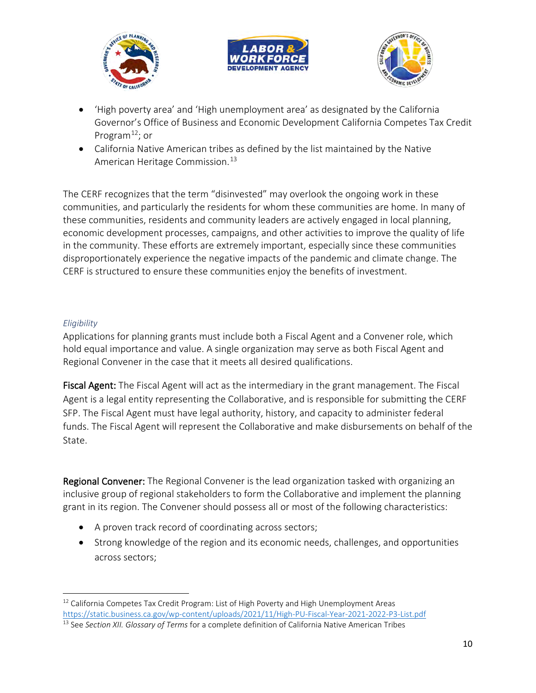





- 'High poverty area' and 'High unemployment area' as designated by the California Governor's Office of Business and Economic Development California Competes Tax Credit Program $^{12}$ ; or
- California Native American tribes as defined by the list maintained by the Native American Heritage Commission.<sup>[13](#page-9-2)</sup>

The CERF recognizes that the term "disinvested" may overlook the ongoing work in these communities, and particularly the residents for whom these communities are home. In many of these communities, residents and community leaders are actively engaged in local planning, economic development processes, campaigns, and other activities to improve the quality of life in the community. These efforts are extremely important, especially since these communities disproportionately experience the negative impacts of the pandemic and climate change. The CERF is structured to ensure these communities enjoy the benefits of investment.

#### <span id="page-9-0"></span>*Eligibility*

Applications for planning grants must include both a Fiscal Agent and a Convener role, which hold equal importance and value. A single organization may serve as both Fiscal Agent and Regional Convener in the case that it meets all desired qualifications.

Fiscal Agent: The Fiscal Agent will act as the intermediary in the grant management. The Fiscal Agent is a legal entity representing the Collaborative, and is responsible for submitting the CERF SFP. The Fiscal Agent must have legal authority, history, and capacity to administer federal funds. The Fiscal Agent will represent the Collaborative and make disbursements on behalf of the State.

Regional Convener: The Regional Convener is the lead organization tasked with organizing an inclusive group of regional stakeholders to form the Collaborative and implement the planning grant in its region. The Convener should possess all or most of the following characteristics:

- A proven track record of coordinating across sectors;
- Strong knowledge of the region and its economic needs, challenges, and opportunities across sectors;

<span id="page-9-1"></span> $12$  California Competes Tax Credit Program: List of High Poverty and High Unemployment Areas <https://static.business.ca.gov/wp-content/uploads/2021/11/High-PU-Fiscal-Year-2021-2022-P3-List.pdf>13 See *Section XII. Glossary of Terms* for a complete definition of California Native American Tribes

<span id="page-9-2"></span>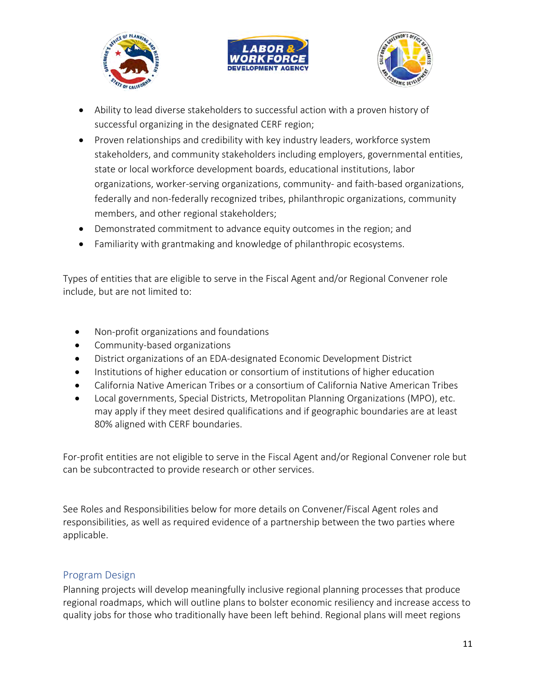





- Ability to lead diverse stakeholders to successful action with a proven history of successful organizing in the designated CERF region;
- Proven relationships and credibility with key industry leaders, workforce system stakeholders, and community stakeholders including employers, governmental entities, state or local workforce development boards, educational institutions, labor organizations, worker-serving organizations, community- and faith-based organizations, federally and non-federally recognized tribes, philanthropic organizations, community members, and other regional stakeholders;
- Demonstrated commitment to advance equity outcomes in the region; and
- Familiarity with grantmaking and knowledge of philanthropic ecosystems.

Types of entities that are eligible to serve in the Fiscal Agent and/or Regional Convener role include, but are not limited to:

- Non-profit organizations and foundations
- Community-based organizations
- District organizations of an EDA-designated Economic Development District
- Institutions of higher education or consortium of institutions of higher education
- California Native American Tribes or a consortium of California Native American Tribes
- Local governments, Special Districts, Metropolitan Planning Organizations (MPO), etc. may apply if they meet desired qualifications and if geographic boundaries are at least 80% aligned with CERF boundaries.

For-profit entities are not eligible to serve in the Fiscal Agent and/or Regional Convener role but can be subcontracted to provide research or other services.

See Roles and Responsibilities below for more details on Convener/Fiscal Agent roles and responsibilities, as well as required evidence of a partnership between the two parties where applicable.

### <span id="page-10-0"></span>Program Design

Planning projects will develop meaningfully inclusive regional planning processes that produce regional roadmaps, which will outline plans to bolster economic resiliency and increase access to quality jobs for those who traditionally have been left behind. Regional plans will meet regions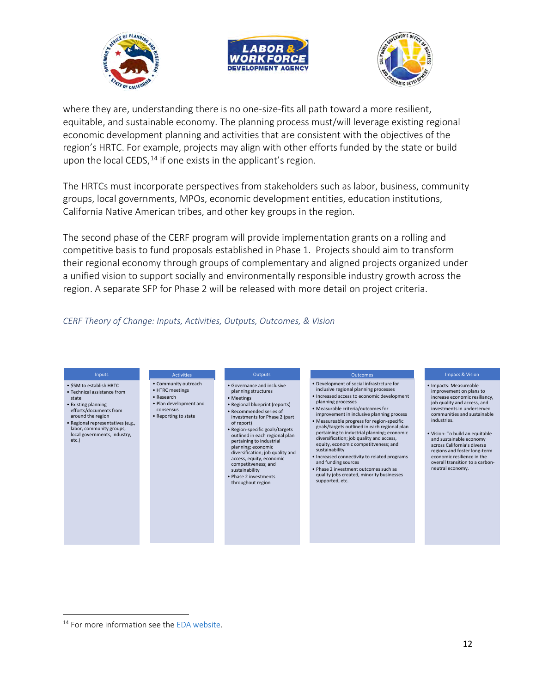





where they are, understanding there is no one-size-fits all path toward a more resilient, equitable, and sustainable economy. The planning process must/will leverage existing regional economic development planning and activities that are consistent with the objectives of the region's HRTC. For example, projects may align with other efforts funded by the state or build upon the local CEDS,  $14$  if one exists in the applicant's region.

The HRTCs must incorporate perspectives from stakeholders such as labor, business, community groups, local governments, MPOs, economic development entities, education institutions, California Native American tribes, and other key groups in the region.

The second phase of the CERF program will provide implementation grants on a rolling and competitive basis to fund proposals established in Phase 1. Projects should aim to transform their regional economy through groups of complementary and aligned projects organized under a unified vision to support socially and environmentally responsible industry growth across the region. A separate SFP for Phase 2 will be released with more detail on project criteria.

#### <span id="page-11-0"></span>*CERF Theory of Change: Inputs, Activities, Outputs, Outcomes, & Vision*



<span id="page-11-1"></span><sup>&</sup>lt;sup>14</sup> For more information see th[e EDA website.](https://www.eda.gov/ceds/)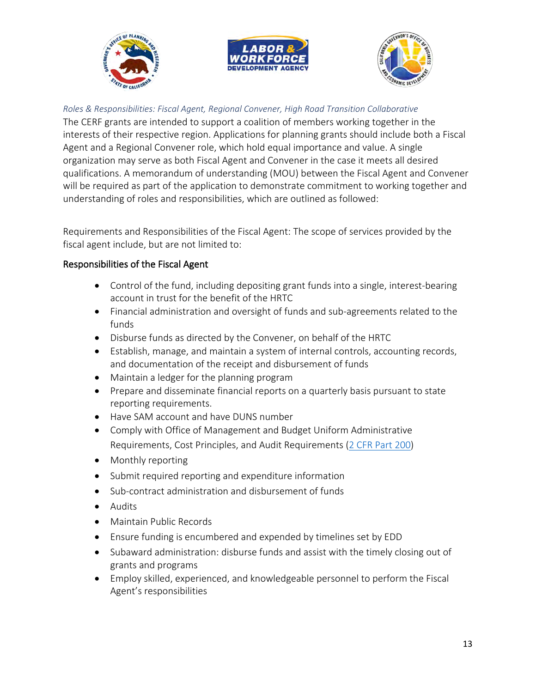





#### <span id="page-12-0"></span>*Roles & Responsibilities: Fiscal Agent, Regional Convener, High Road Transition Collaborative*

The CERF grants are intended to support a coalition of members working together in the interests of their respective region. Applications for planning grants should include both a Fiscal Agent and a Regional Convener role, which hold equal importance and value. A single organization may serve as both Fiscal Agent and Convener in the case it meets all desired qualifications. A memorandum of understanding (MOU) between the Fiscal Agent and Convener will be required as part of the application to demonstrate commitment to working together and understanding of roles and responsibilities, which are outlined as followed:

Requirements and Responsibilities of the Fiscal Agent: The scope of services provided by the fiscal agent include, but are not limited to:

#### Responsibilities of the Fiscal Agent

- Control of the fund, including depositing grant funds into a single, interest-bearing account in trust for the benefit of the HRTC
- Financial administration and oversight of funds and sub-agreements related to the funds
- Disburse funds as directed by the Convener, on behalf of the HRTC
- Establish, manage, and maintain a system of internal controls, accounting records, and documentation of the receipt and disbursement of funds
- Maintain a ledger for the planning program
- Prepare and disseminate financial reports on a quarterly basis pursuant to state reporting requirements.
- Have SAM account and have DUNS number
- Comply with Office of Management and Budget Uniform Administrative Requirements, Cost Principles, and Audit Requirements [\(2 CFR Part 200\)](http://www.ecfr.gov/cgi-bin/text-idx?tpl=/ecfrbrowse/Title02/2cfr200_main_02.tpl)
- Monthly reporting
- Submit required reporting and expenditure information
- Sub-contract administration and disbursement of funds
- Audits
- Maintain Public Records
- Ensure funding is encumbered and expended by timelines set by EDD
- Subaward administration: disburse funds and assist with the timely closing out of grants and programs
- Employ skilled, experienced, and knowledgeable personnel to perform the Fiscal Agent's responsibilities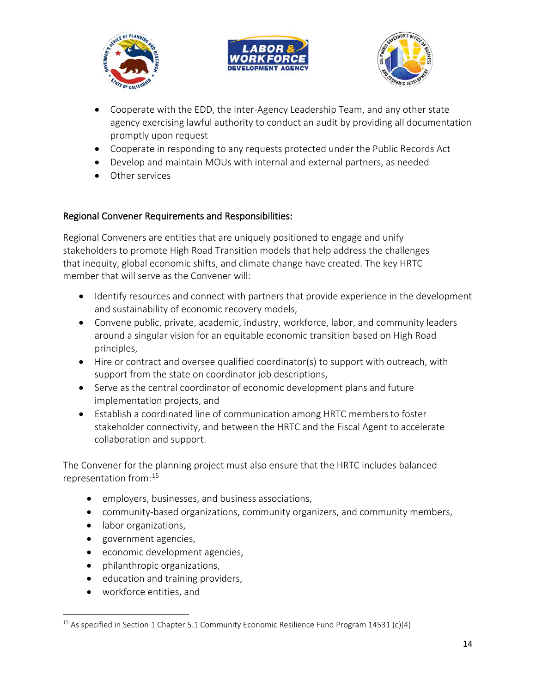





- Cooperate with the EDD, the Inter-Agency Leadership Team, and any other state agency exercising lawful authority to conduct an audit by providing all documentation promptly upon request
- Cooperate in responding to any requests protected under the Public Records Act
- Develop and maintain MOUs with internal and external partners, as needed
- Other services

# Regional Convener Requirements and Responsibilities:

Regional Conveners are entities that are uniquely positioned to engage and unify stakeholders to promote High Road Transition models that help address the challenges that inequity, global economic shifts, and climate change have created. The key HRTC member that will serve as the Convener will:

- Identify resources and connect with partners that provide experience in the development and sustainability of economic recovery models,
- Convene public, private, academic, industry, workforce, labor, and community leaders around a singular vision for an equitable economic transition based on High Road principles,
- Hire or contract and oversee qualified coordinator(s) to support with outreach, with support from the state on coordinator job descriptions,
- Serve as the central coordinator of economic development plans and future implementation projects, and
- Establish a coordinated line of communication among HRTC membersto foster stakeholder connectivity, and between the HRTC and the Fiscal Agent to accelerate collaboration and support.

The Convener for the planning project must also ensure that the HRTC includes balanced representation from: [15](#page-13-0)

- employers, businesses, and business associations,
- community-based organizations, community organizers, and community members,
- labor organizations,
- government agencies,
- economic development agencies,
- philanthropic organizations,
- education and training providers,
- workforce entities, and

<span id="page-13-0"></span><sup>&</sup>lt;sup>15</sup> As specified in Section 1 Chapter 5.1 Community Economic Resilience Fund Program 14531 (c)(4)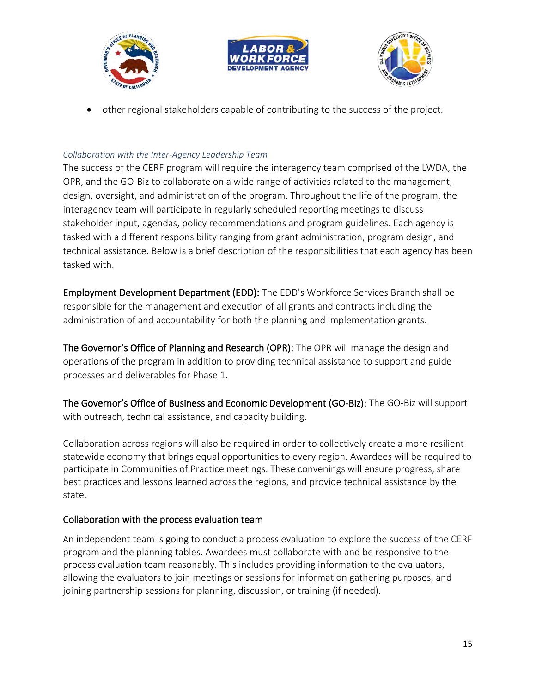





• other regional stakeholders capable of contributing to the success of the project.

# <span id="page-14-0"></span>*Collaboration with the Inter-Agency Leadership Team*

The success of the CERF program will require the interagency team comprised of the LWDA, the OPR, and the GO-Biz to collaborate on a wide range of activities related to the management, design, oversight, and administration of the program. Throughout the life of the program, the interagency team will participate in regularly scheduled reporting meetings to discuss stakeholder input, agendas, policy recommendations and program guidelines. Each agency is tasked with a different responsibility ranging from grant administration, program design, and technical assistance. Below is a brief description of the responsibilities that each agency has been tasked with.

Employment Development Department (EDD): The EDD's Workforce Services Branch shall be responsible for the management and execution of all grants and contracts including the administration of and accountability for both the planning and implementation grants.

The Governor's Office of Planning and Research (OPR): The OPR will manage the design and operations of the program in addition to providing technical assistance to support and guide processes and deliverables for Phase 1.

The Governor's Office of Business and Economic Development (GO-Biz): The GO-Biz will support with outreach, technical assistance, and capacity building.

Collaboration across regions will also be required in order to collectively create a more resilient statewide economy that brings equal opportunities to every region. Awardees will be required to participate in Communities of Practice meetings. These convenings will ensure progress, share best practices and lessons learned across the regions, and provide technical assistance by the state.

### Collaboration with the process evaluation team

An independent team is going to conduct a process evaluation to explore the success of the CERF program and the planning tables. Awardees must collaborate with and be responsive to the process evaluation team reasonably. This includes providing information to the evaluators, allowing the evaluators to join meetings or sessions for information gathering purposes, and joining partnership sessions for planning, discussion, or training (if needed).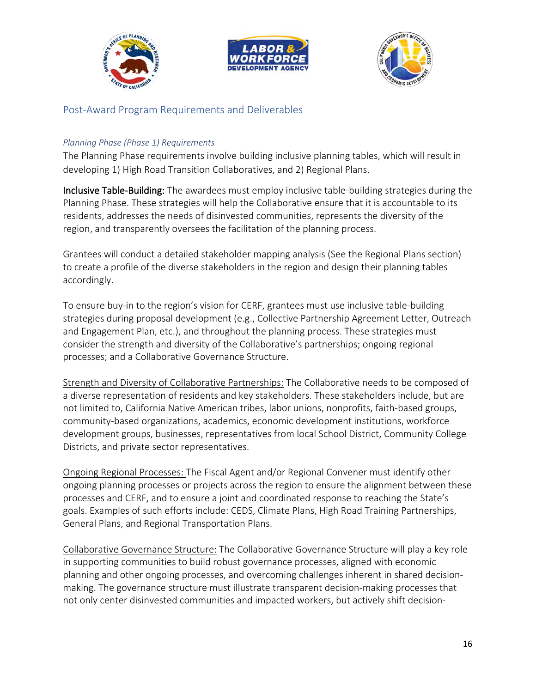





# <span id="page-15-0"></span>Post-Award Program Requirements and Deliverables

#### <span id="page-15-1"></span>*Planning Phase (Phase 1) Requirements*

The Planning Phase requirements involve building inclusive planning tables, which will result in developing 1) High Road Transition Collaboratives, and 2) Regional Plans.

Inclusive Table-Building: The awardees must employ inclusive table-building strategies during the Planning Phase. These strategies will help the Collaborative ensure that it is accountable to its residents, addresses the needs of disinvested communities, represents the diversity of the region, and transparently oversees the facilitation of the planning process.

Grantees will conduct a detailed stakeholder mapping analysis (See the Regional Plans section) to create a profile of the diverse stakeholders in the region and design their planning tables accordingly.

To ensure buy-in to the region's vision for CERF, grantees must use inclusive table-building strategies during proposal development (e.g., Collective Partnership Agreement Letter, Outreach and Engagement Plan, etc.), and throughout the planning process. These strategies must consider the strength and diversity of the Collaborative's partnerships; ongoing regional processes; and a Collaborative Governance Structure.

Strength and Diversity of Collaborative Partnerships: The Collaborative needs to be composed of a diverse representation of residents and key stakeholders. These stakeholders include, but are not limited to, California Native American tribes, labor unions, nonprofits, faith-based groups, community-based organizations, academics, economic development institutions, workforce development groups, businesses, representatives from local School District, Community College Districts, and private sector representatives.

Ongoing Regional Processes: The Fiscal Agent and/or Regional Convener must identify other ongoing planning processes or projects across the region to ensure the alignment between these processes and CERF, and to ensure a joint and coordinated response to reaching the State's goals. Examples of such efforts include: CEDS, Climate Plans, High Road Training Partnerships, General Plans, and Regional Transportation Plans.

Collaborative Governance Structure: The Collaborative Governance Structure will play a key role in supporting communities to build robust governance processes, aligned with economic planning and other ongoing processes, and overcoming challenges inherent in shared decisionmaking. The governance structure must illustrate transparent decision-making processes that not only center disinvested communities and impacted workers, but actively shift decision-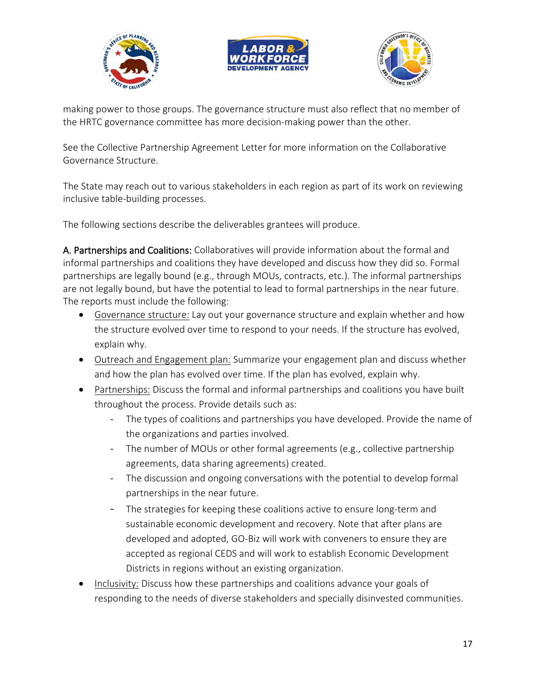





making power to those groups. The governance structure must also reflect that no member of the HRTC governance committee has more decision-making power than the other.

See the Collective Partnership Agreement Letter for more information on the Collaborative Governance Structure.

The State may reach out to various stakeholders in each region as part of its work on reviewing inclusive table-building processes.

The following sections describe the deliverables grantees will produce.

A. Partnerships and Coalitions: Collaboratives will provide information about the formal and informal partnerships and coalitions they have developed and discuss how they did so. Formal partnerships are legally bound (e.g., through MOUs, contracts, etc.). The informal partnerships are not legally bound, but have the potential to lead to formal partnerships in the near future. The reports must include the following:

- Governance structure: Lay out your governance structure and explain whether and how the structure evolved over time to respond to your needs. If the structure has evolved, explain why.
- Outreach and Engagement plan: Summarize your engagement plan and discuss whether and how the plan has evolved over time. If the plan has evolved, explain why.
- Partnerships: Discuss the formal and informal partnerships and coalitions you have built throughout the process. Provide details such as:
	- The types of coalitions and partnerships you have developed. Provide the name of the organizations and parties involved.
	- The number of MOUs or other formal agreements (e.g., collective partnership agreements, data sharing agreements) created.
	- The discussion and ongoing conversations with the potential to develop formal partnerships in the near future.
	- The strategies for keeping these coalitions active to ensure long-term and sustainable economic development and recovery. Note that after plans are developed and adopted, GO-Biz will work with conveners to ensure they are accepted as regional CEDS and will work to establish Economic Development Districts in regions without an existing organization.
- Inclusivity: Discuss how these partnerships and coalitions advance your goals of responding to the needs of diverse stakeholders and specially disinvested communities.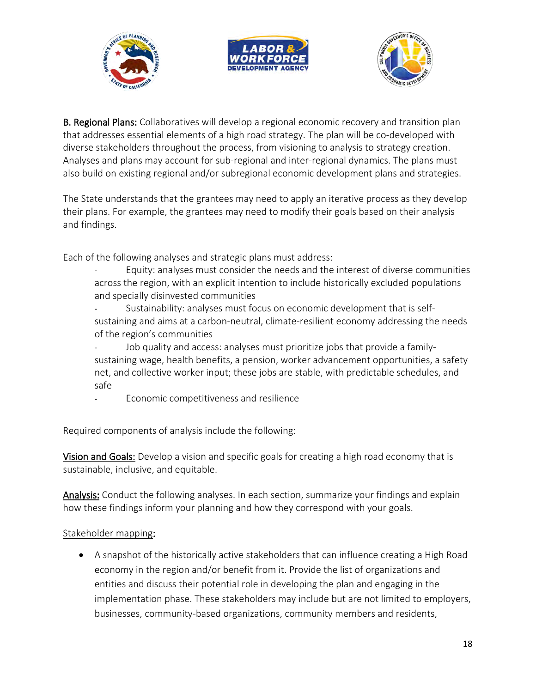





B. Regional Plans: Collaboratives will develop a regional economic recovery and transition plan that addresses essential elements of a high road strategy. The plan will be co-developed with diverse stakeholders throughout the process, from visioning to analysis to strategy creation. Analyses and plans may account for sub-regional and inter-regional dynamics. The plans must also build on existing regional and/or subregional economic development plans and strategies.

The State understands that the grantees may need to apply an iterative process as they develop their plans. For example, the grantees may need to modify their goals based on their analysis and findings.

Each of the following analyses and strategic plans must address:

- Equity: analyses must consider the needs and the interest of diverse communities across the region, with an explicit intention to include historically excluded populations and specially disinvested communities
- Sustainability: analyses must focus on economic development that is selfsustaining and aims at a carbon-neutral, climate-resilient economy addressing the needs of the region's communities
- Job quality and access: analyses must prioritize jobs that provide a familysustaining wage, health benefits, a pension, worker advancement opportunities, a safety net, and collective worker input; these jobs are stable, with predictable schedules, and safe
- Economic competitiveness and resilience

Required components of analysis include the following:

Vision and Goals: Develop a vision and specific goals for creating a high road economy that is sustainable, inclusive, and equitable.

Analysis: Conduct the following analyses. In each section, summarize your findings and explain how these findings inform your planning and how they correspond with your goals.

#### Stakeholder mapping:

• A snapshot of the historically active stakeholders that can influence creating a High Road economy in the region and/or benefit from it. Provide the list of organizations and entities and discuss their potential role in developing the plan and engaging in the implementation phase. These stakeholders may include but are not limited to employers, businesses, community-based organizations, community members and residents,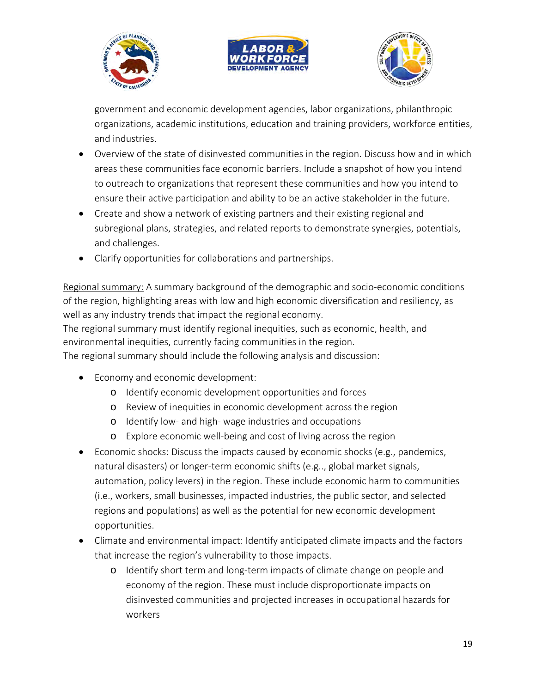





government and economic development agencies, labor organizations, philanthropic organizations, academic institutions, education and training providers, workforce entities, and industries.

- Overview of the state of disinvested communities in the region. Discuss how and in which areas these communities face economic barriers. Include a snapshot of how you intend to outreach to organizations that represent these communities and how you intend to ensure their active participation and ability to be an active stakeholder in the future.
- Create and show a network of existing partners and their existing regional and subregional plans, strategies, and related reports to demonstrate synergies, potentials, and challenges.
- Clarify opportunities for collaborations and partnerships.

Regional summary: A summary background of the demographic and socio-economic conditions of the region, highlighting areas with low and high economic diversification and resiliency, as well as any industry trends that impact the regional economy.

The regional summary must identify regional inequities, such as economic, health, and environmental inequities, currently facing communities in the region.

The regional summary should include the following analysis and discussion:

- Economy and economic development:
	- o Identify economic development opportunities and forces
	- o Review of inequities in economic development across the region
	- o Identify low- and high- wage industries and occupations
	- o Explore economic well-being and cost of living across the region
- Economic shocks: Discuss the impacts caused by economic shocks (e.g., pandemics, natural disasters) or longer-term economic shifts (e.g.., global market signals, automation, policy levers) in the region. These include economic harm to communities (i.e., workers, small businesses, impacted industries, the public sector, and selected regions and populations) as well as the potential for new economic development opportunities.
- Climate and environmental impact: Identify anticipated climate impacts and the factors that increase the region's vulnerability to those impacts.
	- o Identify short term and long-term impacts of climate change on people and economy of the region. These must include disproportionate impacts on disinvested communities and projected increases in occupational hazards for workers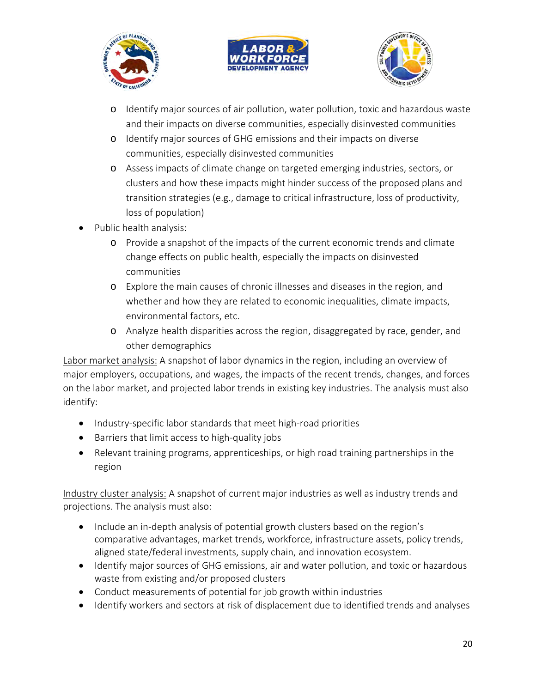





- o Identify major sources of air pollution, water pollution, toxic and hazardous waste and their impacts on diverse communities, especially disinvested communities
- o Identify major sources of GHG emissions and their impacts on diverse communities, especially disinvested communities
- o Assess impacts of climate change on targeted emerging industries, sectors, or clusters and how these impacts might hinder success of the proposed plans and transition strategies (e.g., damage to critical infrastructure, loss of productivity, loss of population)
- Public health analysis:
	- o Provide a snapshot of the impacts of the current economic trends and climate change effects on public health, especially the impacts on disinvested communities
	- o Explore the main causes of chronic illnesses and diseases in the region, and whether and how they are related to economic inequalities, climate impacts, environmental factors, etc.
	- o Analyze health disparities across the region, disaggregated by race, gender, and other demographics

Labor market analysis: A snapshot of labor dynamics in the region, including an overview of major employers, occupations, and wages, the impacts of the recent trends, changes, and forces on the labor market, and projected labor trends in existing key industries. The analysis must also identify:

- Industry-specific labor standards that meet high-road priorities
- Barriers that limit access to high-quality jobs
- Relevant training programs, apprenticeships, or high road training partnerships in the region

Industry cluster analysis: A snapshot of current major industries as well as industry trends and projections. The analysis must also:

- Include an in-depth analysis of potential growth clusters based on the region's comparative advantages, market trends, workforce, infrastructure assets, policy trends, aligned state/federal investments, supply chain, and innovation ecosystem.
- Identify major sources of GHG emissions, air and water pollution, and toxic or hazardous waste from existing and/or proposed clusters
- Conduct measurements of potential for job growth within industries
- Identify workers and sectors at risk of displacement due to identified trends and analyses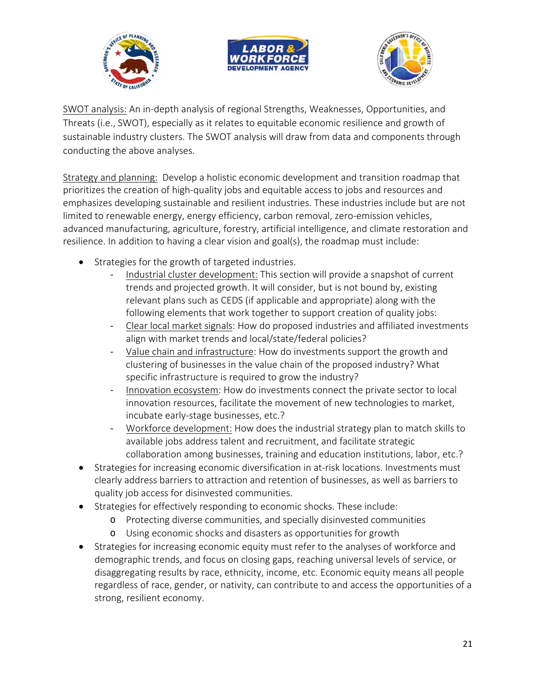





SWOT analysis: An in-depth analysis of regional Strengths, Weaknesses, Opportunities, and Threats (i.e., SWOT), especially as it relates to equitable economic resilience and growth of sustainable industry clusters. The SWOT analysis will draw from data and components through conducting the above analyses.

Strategy and planning: Develop a holistic economic development and transition roadmap that prioritizes the creation of high-quality jobs and equitable access to jobs and resources and emphasizes developing sustainable and resilient industries. These industries include but are not limited to renewable energy, energy efficiency, carbon removal, zero-emission vehicles, advanced manufacturing, agriculture, forestry, artificial intelligence, and climate restoration and resilience. In addition to having a clear vision and goal(s), the roadmap must include:

- Strategies for the growth of targeted industries.
	- Industrial cluster development: This section will provide a snapshot of current trends and projected growth. It will consider, but is not bound by, existing relevant plans such as CEDS (if applicable and appropriate) along with the following elements that work together to support creation of quality jobs:
	- Clear local market signals: How do proposed industries and affiliated investments align with market trends and local/state/federal policies?
	- Value chain and infrastructure: How do investments support the growth and clustering of businesses in the value chain of the proposed industry? What specific infrastructure is required to grow the industry?
	- Innovation ecosystem: How do investments connect the private sector to local innovation resources, facilitate the movement of new technologies to market, incubate early-stage businesses, etc.?
	- Workforce development: How does the industrial strategy plan to match skills to available jobs address talent and recruitment, and facilitate strategic collaboration among businesses, training and education institutions, labor, etc.?
- Strategies for increasing economic diversification in at-risk locations. Investments must clearly address barriers to attraction and retention of businesses, as well as barriers to quality job access for disinvested communities.
- Strategies for effectively responding to economic shocks. These include:
	- o Protecting diverse communities, and specially disinvested communities
	- o Using economic shocks and disasters as opportunities for growth
- Strategies for increasing economic equity must refer to the analyses of workforce and demographic trends, and focus on closing gaps, reaching universal levels of service, or disaggregating results by race, ethnicity, income, etc. Economic equity means all people regardless of race, gender, or nativity, can contribute to and access the opportunities of a strong, resilient economy.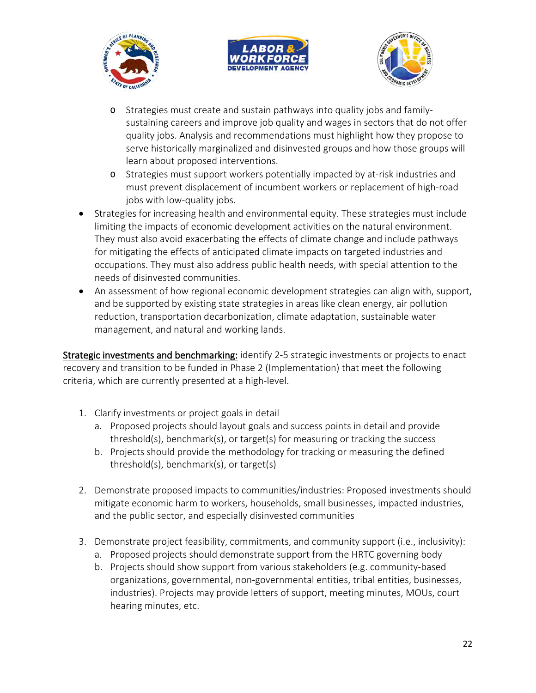





- o Strategies must create and sustain pathways into quality jobs and familysustaining careers and improve job quality and wages in sectors that do not offer quality jobs. Analysis and recommendations must highlight how they propose to serve historically marginalized and disinvested groups and how those groups will learn about proposed interventions.
- o Strategies must support workers potentially impacted by at-risk industries and must prevent displacement of incumbent workers or replacement of high-road jobs with low-quality jobs.
- Strategies for increasing health and environmental equity. These strategies must include limiting the impacts of economic development activities on the natural environment. They must also avoid exacerbating the effects of climate change and include pathways for mitigating the effects of anticipated climate impacts on targeted industries and occupations. They must also address public health needs, with special attention to the needs of disinvested communities.
- An assessment of how regional economic development strategies can align with, support, and be supported by existing state strategies in areas like clean energy, air pollution reduction, transportation decarbonization, climate adaptation, sustainable water management, and natural and working lands.

Strategic investments and benchmarking: identify 2-5 strategic investments or projects to enact recovery and transition to be funded in Phase 2 (Implementation) that meet the following criteria, which are currently presented at a high-level.

- 1. Clarify investments or project goals in detail
	- a. Proposed projects should layout goals and success points in detail and provide threshold(s), benchmark(s), or target(s) for measuring or tracking the success
	- b. Projects should provide the methodology for tracking or measuring the defined threshold(s), benchmark(s), or target(s)
- 2. Demonstrate proposed impacts to communities/industries: Proposed investments should mitigate economic harm to workers, households, small businesses, impacted industries, and the public sector, and especially disinvested communities
- 3. Demonstrate project feasibility, commitments, and community support (i.e., inclusivity):
	- a. Proposed projects should demonstrate support from the HRTC governing body
	- b. Projects should show support from various stakeholders (e.g. community-based organizations, governmental, non-governmental entities, tribal entities, businesses, industries). Projects may provide letters of support, meeting minutes, MOUs, court hearing minutes, etc.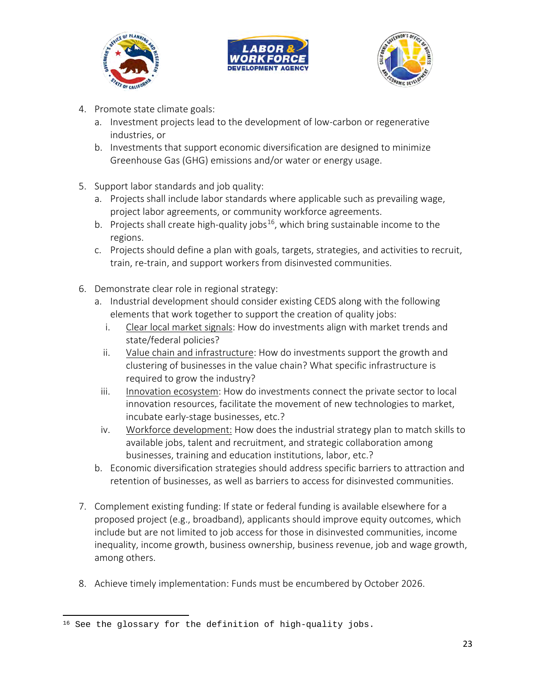





- 4. Promote state climate goals:
	- a. Investment projects lead to the development of low-carbon or regenerative industries, or
	- b. Investments that support economic diversification are designed to minimize Greenhouse Gas (GHG) emissions and/or water or energy usage.
- 5. Support labor standards and job quality:
	- a. Projects shall include labor standards where applicable such as prevailing wage, project labor agreements, or community workforce agreements.
	- b. Projects shall create high-quality jobs<sup>16</sup>, which bring sustainable income to the regions.
	- c. Projects should define a plan with goals, targets, strategies, and activities to recruit, train, re-train, and support workers from disinvested communities.
- 6. Demonstrate clear role in regional strategy:
	- a. Industrial development should consider existing CEDS along with the following elements that work together to support the creation of quality jobs:
		- i. Clear local market signals: How do investments align with market trends and state/federal policies?
		- ii. Value chain and infrastructure: How do investments support the growth and clustering of businesses in the value chain? What specific infrastructure is required to grow the industry?
	- iii. Innovation ecosystem: How do investments connect the private sector to local innovation resources, facilitate the movement of new technologies to market, incubate early-stage businesses, etc.?
	- iv. Workforce development: How does the industrial strategy plan to match skills to available jobs, talent and recruitment, and strategic collaboration among businesses, training and education institutions, labor, etc.?
	- b. Economic diversification strategies should address specific barriers to attraction and retention of businesses, as well as barriers to access for disinvested communities.
- 7. Complement existing funding: If state or federal funding is available elsewhere for a proposed project (e.g., broadband), applicants should improve equity outcomes, which include but are not limited to job access for those in disinvested communities, income inequality, income growth, business ownership, business revenue, job and wage growth, among others.
- 8. Achieve timely implementation: Funds must be encumbered by October 2026.

<span id="page-22-0"></span><sup>&</sup>lt;sup>16</sup> See the glossary for the definition of high-quality jobs.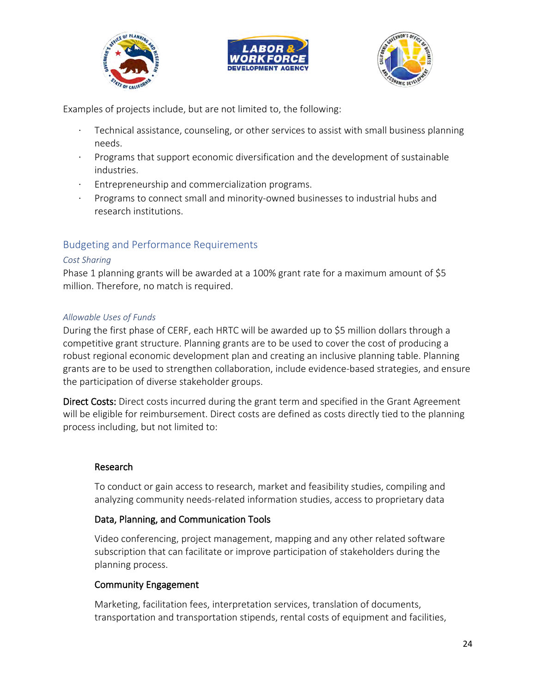





Examples of projects include, but are not limited to, the following:

- Technical assistance, counseling, or other services to assist with small business planning needs.
- · Programs that support economic diversification and the development of sustainable industries.
- Entrepreneurship and commercialization programs.
- · Programs to connect small and minority-owned businesses to industrial hubs and research institutions.

# <span id="page-23-0"></span>Budgeting and Performance Requirements

#### <span id="page-23-1"></span>*Cost Sharing*

Phase 1 planning grants will be awarded at a 100% grant rate for a maximum amount of \$5 million. Therefore, no match is required.

#### <span id="page-23-2"></span>*Allowable Uses of Funds*

During the first phase of CERF, each HRTC will be awarded up to \$5 million dollars through a competitive grant structure. Planning grants are to be used to cover the cost of producing a robust regional economic development plan and creating an inclusive planning table. Planning grants are to be used to strengthen collaboration, include evidence-based strategies, and ensure the participation of diverse stakeholder groups.

Direct Costs: Direct costs incurred during the grant term and specified in the Grant Agreement will be eligible for reimbursement. Direct costs are defined as costs directly tied to the planning process including, but not limited to:

### Research

To conduct or gain access to research, market and feasibility studies, compiling and analyzing community needs-related information studies, access to proprietary data

#### Data, Planning, and Communication Tools

Video conferencing, project management, mapping and any other related software subscription that can facilitate or improve participation of stakeholders during the planning process.

#### Community Engagement

Marketing, facilitation fees, interpretation services, translation of documents, transportation and transportation stipends, rental costs of equipment and facilities,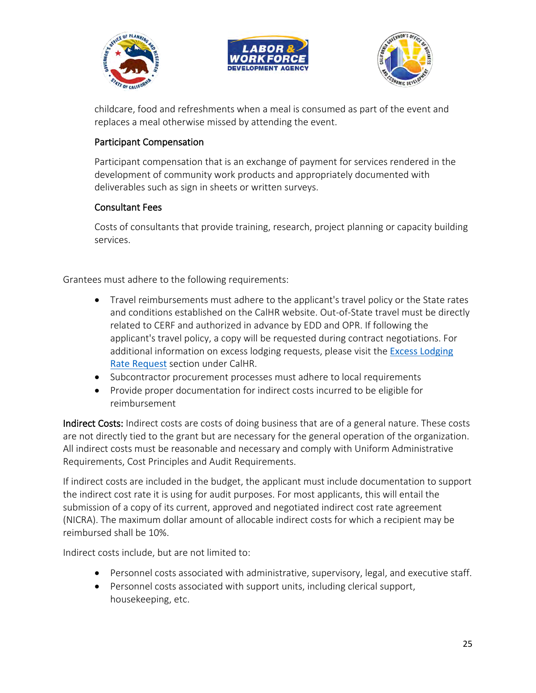





childcare, food and refreshments when a meal is consumed as part of the event and replaces a meal otherwise missed by attending the event.

### Participant Compensation

Participant compensation that is an exchange of payment for services rendered in the development of community work products and appropriately documented with deliverables such as sign in sheets or written surveys.

### Consultant Fees

Costs of consultants that provide training, research, project planning or capacity building services.

Grantees must adhere to the following requirements:

- Travel reimbursements must adhere to the applicant's travel policy or the State rates and conditions established on the CalHR website. Out-of-State travel must be directly related to CERF and authorized in advance by EDD and OPR. If following the applicant's travel policy, a copy will be requested during contract negotiations. For additional information on excess lodging requests, please visit the **Excess Lodging** [Rate Request](https://hrmanual.calhr.ca.gov/Home/ManualItem/1/2201) section under CalHR.
- Subcontractor procurement processes must adhere to local requirements
- Provide proper documentation for indirect costs incurred to be eligible for reimbursement

Indirect Costs: Indirect costs are costs of doing business that are of a general nature. These costs are not directly tied to the grant but are necessary for the general operation of the organization. All indirect costs must be reasonable and necessary and comply with Uniform Administrative Requirements, Cost Principles and Audit Requirements.

If indirect costs are included in the budget, the applicant must include documentation to support the indirect cost rate it is using for audit purposes. For most applicants, this will entail the submission of a copy of its current, approved and negotiated indirect cost rate agreement (NICRA). The maximum dollar amount of allocable indirect costs for which a recipient may be reimbursed shall be 10%.

Indirect costs include, but are not limited to:

- Personnel costs associated with administrative, supervisory, legal, and executive staff.
- Personnel costs associated with support units, including clerical support, housekeeping, etc.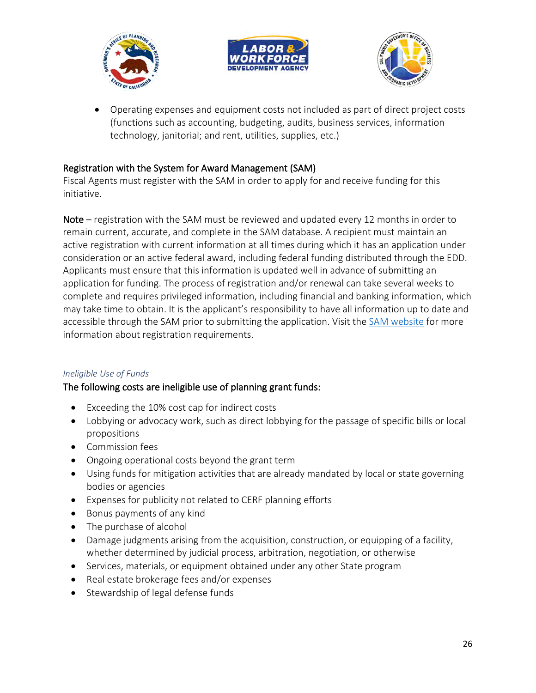





• Operating expenses and equipment costs not included as part of direct project costs (functions such as accounting, budgeting, audits, business services, information technology, janitorial; and rent, utilities, supplies, etc.)

### Registration with the System for Award Management (SAM)

Fiscal Agents must register with the SAM in order to apply for and receive funding for this initiative.

Note – registration with the SAM must be reviewed and updated every 12 months in order to remain current, accurate, and complete in the SAM database. A recipient must maintain an active registration with current information at all times during which it has an application under consideration or an active federal award, including federal funding distributed through the EDD. Applicants must ensure that this information is updated well in advance of submitting an application for funding. The process of registration and/or renewal can take several weeks to complete and requires privileged information, including financial and banking information, which may take time to obtain. It is the applicant's responsibility to have all information up to date and accessible through the SAM prior to submitting the application. Visit the [SAM website](https://sam.gov/content/entity-registration) for more information about registration requirements.

### <span id="page-25-0"></span>*Ineligible Use of Funds*

### The following costs are ineligible use of planning grant funds:

- Exceeding the 10% cost cap for indirect costs
- Lobbying or advocacy work, such as direct lobbying for the passage of specific bills or local propositions
- Commission fees
- Ongoing operational costs beyond the grant term
- Using funds for mitigation activities that are already mandated by local or state governing bodies or agencies
- Expenses for publicity not related to CERF planning efforts
- Bonus payments of any kind
- The purchase of alcohol
- Damage judgments arising from the acquisition, construction, or equipping of a facility, whether determined by judicial process, arbitration, negotiation, or otherwise
- Services, materials, or equipment obtained under any other State program
- Real estate brokerage fees and/or expenses
- Stewardship of legal defense funds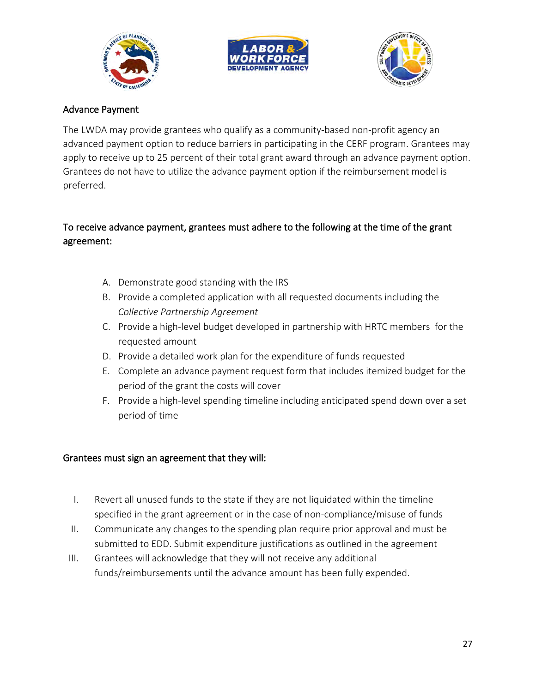





### Advance Payment

The LWDA may provide grantees who qualify as a community-based non-profit agency an advanced payment option to reduce barriers in participating in the CERF program. Grantees may apply to receive up to 25 percent of their total grant award through an advance payment option. Grantees do not have to utilize the advance payment option if the reimbursement model is preferred.

# To receive advance payment, grantees must adhere to the following at the time of the grant agreement:

- A. Demonstrate good standing with the IRS
- B. Provide a completed application with all requested documents including the *Collective Partnership Agreement*
- C. Provide a high-level budget developed in partnership with HRTC members for the requested amount
- D. Provide a detailed work plan for the expenditure of funds requested
- E. Complete an advance payment request form that includes itemized budget for the period of the grant the costs will cover
- F. Provide a high-level spending timeline including anticipated spend down over a set period of time

#### Grantees must sign an agreement that they will:

- I. Revert all unused funds to the state if they are not liquidated within the timeline specified in the grant agreement or in the case of non-compliance/misuse of funds
- II. Communicate any changes to the spending plan require prior approval and must be submitted to EDD. Submit expenditure justifications as outlined in the agreement
- III. Grantees will acknowledge that they will not receive any additional funds/reimbursements until the advance amount has been fully expended.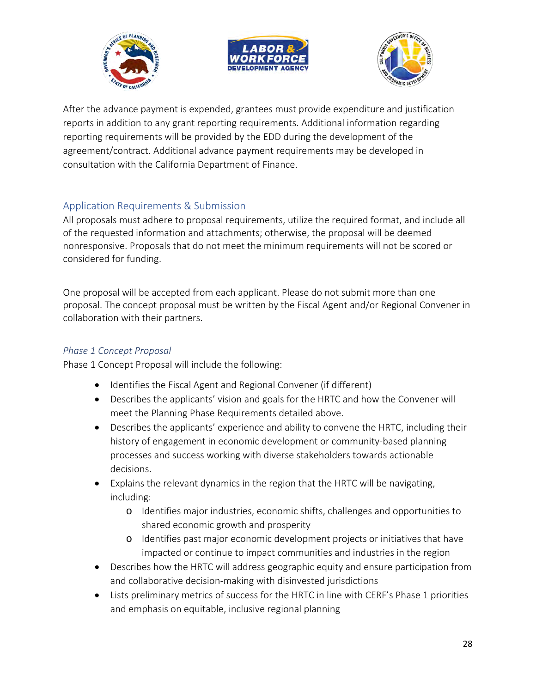





After the advance payment is expended, grantees must provide expenditure and justification reports in addition to any grant reporting requirements. Additional information regarding reporting requirements will be provided by the EDD during the development of the agreement/contract. Additional advance payment requirements may be developed in consultation with the California Department of Finance.

# <span id="page-27-0"></span>Application Requirements & Submission

All proposals must adhere to proposal requirements, utilize the required format, and include all of the requested information and attachments; otherwise, the proposal will be deemed nonresponsive. Proposals that do not meet the minimum requirements will not be scored or considered for funding.

One proposal will be accepted from each applicant. Please do not submit more than one proposal. The concept proposal must be written by the Fiscal Agent and/or Regional Convener in collaboration with their partners.

### <span id="page-27-1"></span>*Phase 1 Concept Proposal*

Phase 1 Concept Proposal will include the following:

- Identifies the Fiscal Agent and Regional Convener (if different)
- Describes the applicants' vision and goals for the HRTC and how the Convener will meet the Planning Phase Requirements detailed above.
- Describes the applicants' experience and ability to convene the HRTC, including their history of engagement in economic development or community-based planning processes and success working with diverse stakeholders towards actionable decisions.
- Explains the relevant dynamics in the region that the HRTC will be navigating, including:
	- o Identifies major industries, economic shifts, challenges and opportunities to shared economic growth and prosperity
	- o Identifies past major economic development projects or initiatives that have impacted or continue to impact communities and industries in the region
- Describes how the HRTC will address geographic equity and ensure participation from and collaborative decision-making with disinvested jurisdictions
- Lists preliminary metrics of success for the HRTC in line with CERF's Phase 1 priorities and emphasis on equitable, inclusive regional planning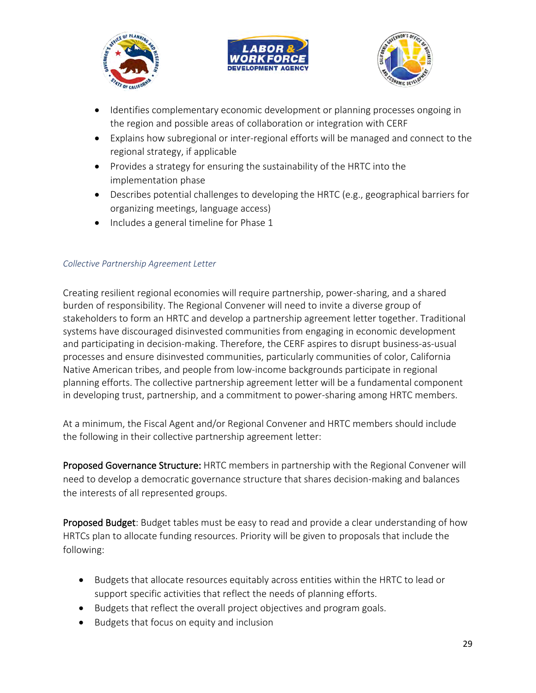





- Identifies complementary economic development or planning processes ongoing in the region and possible areas of collaboration or integration with CERF
- Explains how subregional or inter-regional efforts will be managed and connect to the regional strategy, if applicable
- Provides a strategy for ensuring the sustainability of the HRTC into the implementation phase
- Describes potential challenges to developing the HRTC (e.g., geographical barriers for organizing meetings, language access)
- Includes a general timeline for Phase 1

#### <span id="page-28-0"></span>*Collective Partnership Agreement Letter*

Creating resilient regional economies will require partnership, power-sharing, and a shared burden of responsibility. The Regional Convener will need to invite a diverse group of stakeholders to form an HRTC and develop a partnership agreement letter together. Traditional systems have discouraged disinvested communities from engaging in economic development and participating in decision-making. Therefore, the CERF aspires to disrupt business-as-usual processes and ensure disinvested communities, particularly communities of color, California Native American tribes, and people from low-income backgrounds participate in regional planning efforts. The collective partnership agreement letter will be a fundamental component in developing trust, partnership, and a commitment to power-sharing among HRTC members.

At a minimum, the Fiscal Agent and/or Regional Convener and HRTC members should include the following in their collective partnership agreement letter:

Proposed Governance Structure: HRTC members in partnership with the Regional Convener will need to develop a democratic governance structure that shares decision-making and balances the interests of all represented groups.

Proposed Budget: Budget tables must be easy to read and provide a clear understanding of how HRTCs plan to allocate funding resources. Priority will be given to proposals that include the following:

- Budgets that allocate resources equitably across entities within the HRTC to lead or support specific activities that reflect the needs of planning efforts.
- Budgets that reflect the overall project objectives and program goals.
- Budgets that focus on equity and inclusion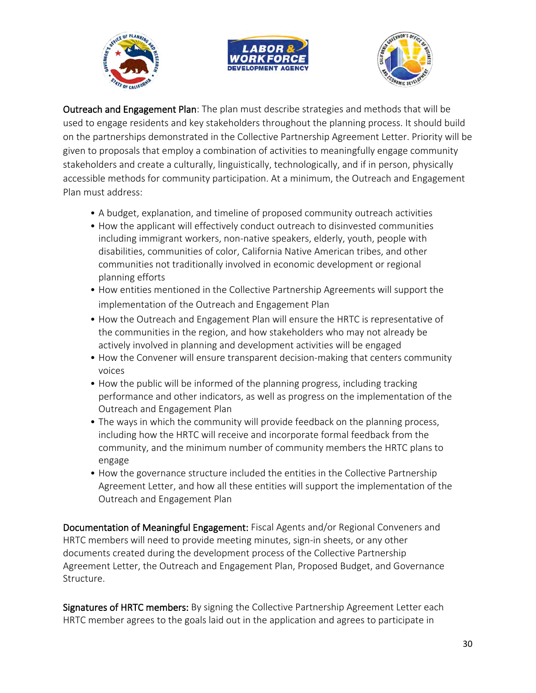





Outreach and Engagement Plan: The plan must describe strategies and methods that will be used to engage residents and key stakeholders throughout the planning process. It should build on the partnerships demonstrated in the Collective Partnership Agreement Letter. Priority will be given to proposals that employ a combination of activities to meaningfully engage community stakeholders and create a culturally, linguistically, technologically, and if in person, physically accessible methods for community participation. At a minimum, the Outreach and Engagement Plan must address:

- A budget, explanation, and timeline of proposed community outreach activities
- How the applicant will effectively conduct outreach to disinvested communities including immigrant workers, non-native speakers, elderly, youth, people with disabilities, communities of color, California Native American tribes, and other communities not traditionally involved in economic development or regional planning efforts
- How entities mentioned in the Collective Partnership Agreements will support the implementation of the Outreach and Engagement Plan
- How the Outreach and Engagement Plan will ensure the HRTC is representative of the communities in the region, and how stakeholders who may not already be actively involved in planning and development activities will be engaged
- How the Convener will ensure transparent decision-making that centers community voices
- How the public will be informed of the planning progress, including tracking performance and other indicators, as well as progress on the implementation of the Outreach and Engagement Plan
- The ways in which the community will provide feedback on the planning process, including how the HRTC will receive and incorporate formal feedback from the community, and the minimum number of community members the HRTC plans to engage
- How the governance structure included the entities in the Collective Partnership Agreement Letter, and how all these entities will support the implementation of the Outreach and Engagement Plan

Documentation of Meaningful Engagement: Fiscal Agents and/or Regional Conveners and HRTC members will need to provide meeting minutes, sign-in sheets, or any other documents created during the development process of the Collective Partnership Agreement Letter, the Outreach and Engagement Plan, Proposed Budget, and Governance Structure.

Signatures of HRTC members: By signing the Collective Partnership Agreement Letter each HRTC member agrees to the goals laid out in the application and agrees to participate in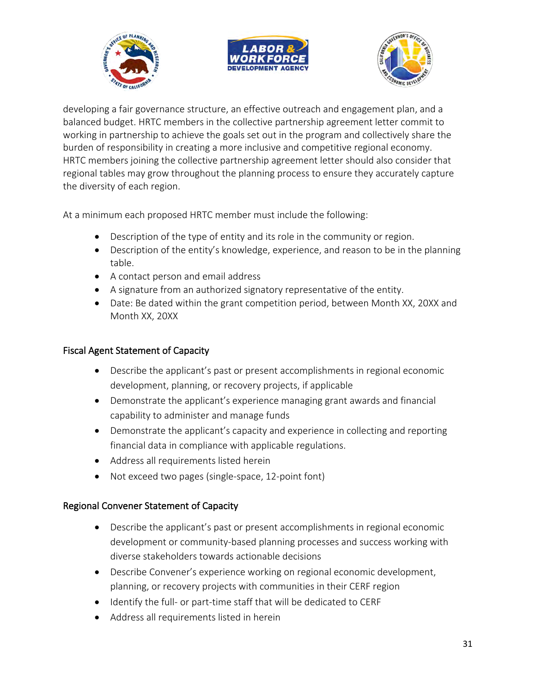





developing a fair governance structure, an effective outreach and engagement plan, and a balanced budget. HRTC members in the collective partnership agreement letter commit to working in partnership to achieve the goals set out in the program and collectively share the burden of responsibility in creating a more inclusive and competitive regional economy. HRTC members joining the collective partnership agreement letter should also consider that regional tables may grow throughout the planning process to ensure they accurately capture the diversity of each region.

At a minimum each proposed HRTC member must include the following:

- Description of the type of entity and its role in the community or region.
- Description of the entity's knowledge, experience, and reason to be in the planning table.
- A contact person and email address
- A signature from an authorized signatory representative of the entity.
- Date: Be dated within the grant competition period, between Month XX, 20XX and Month XX, 20XX

### Fiscal Agent Statement of Capacity

- Describe the applicant's past or present accomplishments in regional economic development, planning, or recovery projects, if applicable
- Demonstrate the applicant's experience managing grant awards and financial capability to administer and manage funds
- Demonstrate the applicant's capacity and experience in collecting and reporting financial data in compliance with applicable regulations.
- Address all requirements listed herein
- Not exceed two pages (single-space, 12-point font)

### Regional Convener Statement of Capacity

- Describe the applicant's past or present accomplishments in regional economic development or community-based planning processes and success working with diverse stakeholders towards actionable decisions
- Describe Convener's experience working on regional economic development, planning, or recovery projects with communities in their CERF region
- Identify the full- or part-time staff that will be dedicated to CERF
- Address all requirements listed in herein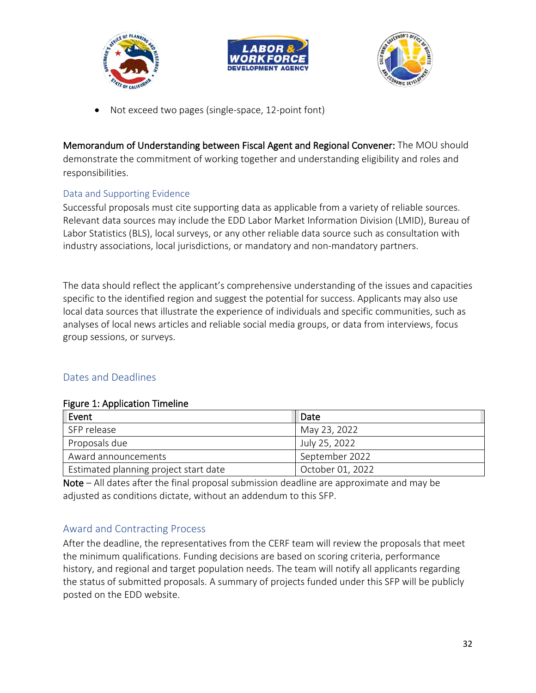





• Not exceed two pages (single-space, 12-point font)

Memorandum of Understanding between Fiscal Agent and Regional Convener: The MOU should demonstrate the commitment of working together and understanding eligibility and roles and responsibilities.

### <span id="page-31-0"></span>Data and Supporting Evidence

Successful proposals must cite supporting data as applicable from a variety of reliable sources. Relevant data sources may include the EDD Labor Market Information Division (LMID), Bureau of Labor Statistics (BLS), local surveys, or any other reliable data source such as consultation with industry associations, local jurisdictions, or mandatory and non-mandatory partners.

The data should reflect the applicant's comprehensive understanding of the issues and capacities specific to the identified region and suggest the potential for success. Applicants may also use local data sources that illustrate the experience of individuals and specific communities, such as analyses of local news articles and reliable social media groups, or data from interviews, focus group sessions, or surveys.

### <span id="page-31-1"></span>Dates and Deadlines

#### Figure 1: Application Timeline

| Event                                 | Date             |
|---------------------------------------|------------------|
| SFP release                           | May 23, 2022     |
| Proposals due                         | July 25, 2022    |
| Award announcements                   | September 2022   |
| Estimated planning project start date | October 01, 2022 |

Note – All dates after the final proposal submission deadline are approximate and may be adjusted as conditions dictate, without an addendum to this SFP.

### <span id="page-31-2"></span>Award and Contracting Process

After the deadline, the representatives from the CERF team will review the proposals that meet the minimum qualifications. Funding decisions are based on scoring criteria, performance history, and regional and target population needs. The team will notify all applicants regarding the status of submitted proposals. A summary of projects funded under this SFP will be publicly posted on the EDD website.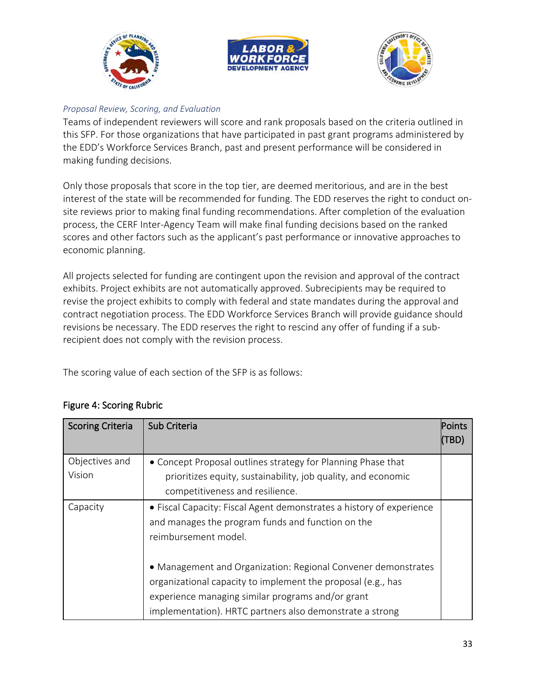





### <span id="page-32-0"></span>*Proposal Review, Scoring, and Evaluation*

Teams of independent reviewers will score and rank proposals based on the criteria outlined in this SFP. For those organizations that have participated in past grant programs administered by the EDD's Workforce Services Branch, past and present performance will be considered in making funding decisions.

Only those proposals that score in the top tier, are deemed meritorious, and are in the best interest of the state will be recommended for funding. The EDD reserves the right to conduct onsite reviews prior to making final funding recommendations. After completion of the evaluation process, the CERF Inter-Agency Team will make final funding decisions based on the ranked scores and other factors such as the applicant's past performance or innovative approaches to economic planning.

All projects selected for funding are contingent upon the revision and approval of the contract exhibits. Project exhibits are not automatically approved. Subrecipients may be required to revise the project exhibits to comply with federal and state mandates during the approval and contract negotiation process. The EDD Workforce Services Branch will provide guidance should revisions be necessary. The EDD reserves the right to rescind any offer of funding if a subrecipient does not comply with the revision process.

The scoring value of each section of the SFP is as follows:

| <b>Scoring Criteria</b>  | Sub Criteria                                                                                                                                                                                                                                   | Points<br>TBD) |
|--------------------------|------------------------------------------------------------------------------------------------------------------------------------------------------------------------------------------------------------------------------------------------|----------------|
| Objectives and<br>Vision | • Concept Proposal outlines strategy for Planning Phase that<br>prioritizes equity, sustainability, job quality, and economic<br>competitiveness and resilience.                                                                               |                |
| Capacity                 | • Fiscal Capacity: Fiscal Agent demonstrates a history of experience<br>and manages the program funds and function on the<br>reimbursement model.                                                                                              |                |
|                          | • Management and Organization: Regional Convener demonstrates<br>organizational capacity to implement the proposal (e.g., has<br>experience managing similar programs and/or grant<br>implementation). HRTC partners also demonstrate a strong |                |

# Figure 4: Scoring Rubric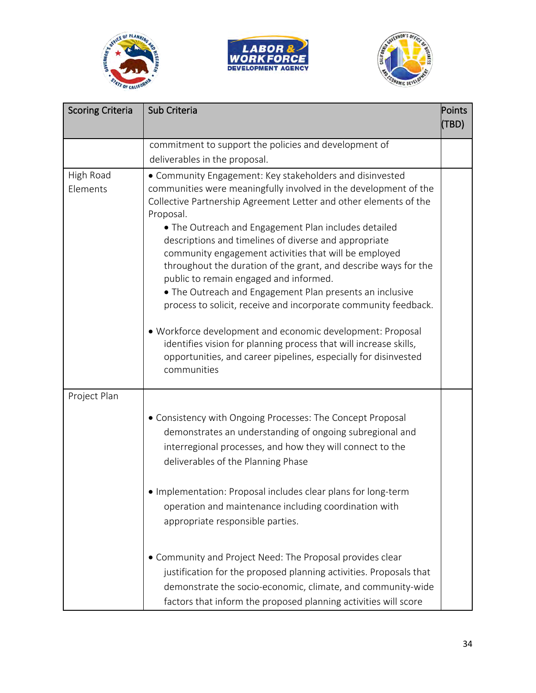





| <b>Scoring Criteria</b> | Sub Criteria                                                                                                                                                                                                                                                                                                                                                                                                                                                                                                                                                                                                                                                                                                                                                                                                                                              | Points |
|-------------------------|-----------------------------------------------------------------------------------------------------------------------------------------------------------------------------------------------------------------------------------------------------------------------------------------------------------------------------------------------------------------------------------------------------------------------------------------------------------------------------------------------------------------------------------------------------------------------------------------------------------------------------------------------------------------------------------------------------------------------------------------------------------------------------------------------------------------------------------------------------------|--------|
|                         |                                                                                                                                                                                                                                                                                                                                                                                                                                                                                                                                                                                                                                                                                                                                                                                                                                                           | (TBD)  |
|                         | commitment to support the policies and development of                                                                                                                                                                                                                                                                                                                                                                                                                                                                                                                                                                                                                                                                                                                                                                                                     |        |
|                         | deliverables in the proposal.                                                                                                                                                                                                                                                                                                                                                                                                                                                                                                                                                                                                                                                                                                                                                                                                                             |        |
| High Road<br>Elements   | • Community Engagement: Key stakeholders and disinvested<br>communities were meaningfully involved in the development of the<br>Collective Partnership Agreement Letter and other elements of the<br>Proposal.<br>• The Outreach and Engagement Plan includes detailed<br>descriptions and timelines of diverse and appropriate<br>community engagement activities that will be employed<br>throughout the duration of the grant, and describe ways for the<br>public to remain engaged and informed.<br>• The Outreach and Engagement Plan presents an inclusive<br>process to solicit, receive and incorporate community feedback.<br>· Workforce development and economic development: Proposal<br>identifies vision for planning process that will increase skills,<br>opportunities, and career pipelines, especially for disinvested<br>communities |        |
| Project Plan            | • Consistency with Ongoing Processes: The Concept Proposal<br>demonstrates an understanding of ongoing subregional and<br>interregional processes, and how they will connect to the<br>deliverables of the Planning Phase<br>· Implementation: Proposal includes clear plans for long-term<br>operation and maintenance including coordination with<br>appropriate responsible parties.<br>• Community and Project Need: The Proposal provides clear<br>justification for the proposed planning activities. Proposals that<br>demonstrate the socio-economic, climate, and community-wide<br>factors that inform the proposed planning activities will score                                                                                                                                                                                              |        |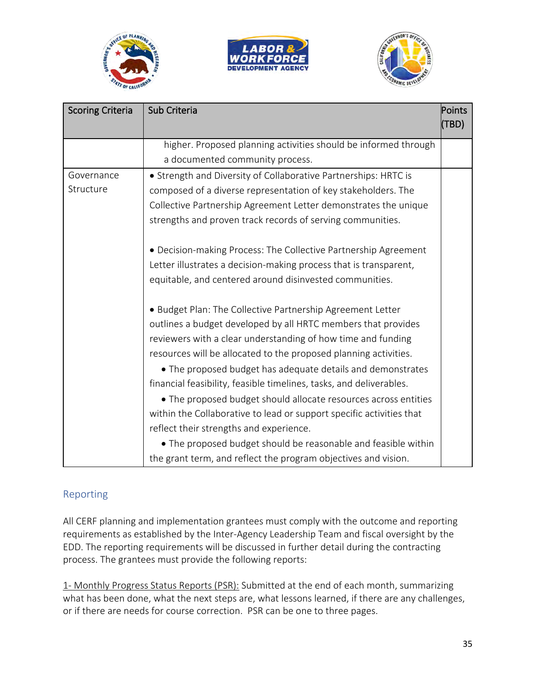





| <b>Scoring Criteria</b> | Sub Criteria                                                         | Points<br>(TBD) |
|-------------------------|----------------------------------------------------------------------|-----------------|
|                         | higher. Proposed planning activities should be informed through      |                 |
|                         | a documented community process.                                      |                 |
| Governance              | • Strength and Diversity of Collaborative Partnerships: HRTC is      |                 |
| Structure               | composed of a diverse representation of key stakeholders. The        |                 |
|                         | Collective Partnership Agreement Letter demonstrates the unique      |                 |
|                         | strengths and proven track records of serving communities.           |                 |
|                         | • Decision-making Process: The Collective Partnership Agreement      |                 |
|                         | Letter illustrates a decision-making process that is transparent,    |                 |
|                         | equitable, and centered around disinvested communities.              |                 |
|                         | · Budget Plan: The Collective Partnership Agreement Letter           |                 |
|                         | outlines a budget developed by all HRTC members that provides        |                 |
|                         | reviewers with a clear understanding of how time and funding         |                 |
|                         | resources will be allocated to the proposed planning activities.     |                 |
|                         | • The proposed budget has adequate details and demonstrates          |                 |
|                         | financial feasibility, feasible timelines, tasks, and deliverables.  |                 |
|                         | • The proposed budget should allocate resources across entities      |                 |
|                         | within the Collaborative to lead or support specific activities that |                 |
|                         | reflect their strengths and experience.                              |                 |
|                         | • The proposed budget should be reasonable and feasible within       |                 |
|                         | the grant term, and reflect the program objectives and vision.       |                 |

# <span id="page-34-0"></span>Reporting

All CERF planning and implementation grantees must comply with the outcome and reporting requirements as established by the Inter-Agency Leadership Team and fiscal oversight by the EDD. The reporting requirements will be discussed in further detail during the contracting process. The grantees must provide the following reports:

1- Monthly Progress Status Reports (PSR): Submitted at the end of each month, summarizing what has been done, what the next steps are, what lessons learned, if there are any challenges, or if there are needs for course correction. PSR can be one to three pages.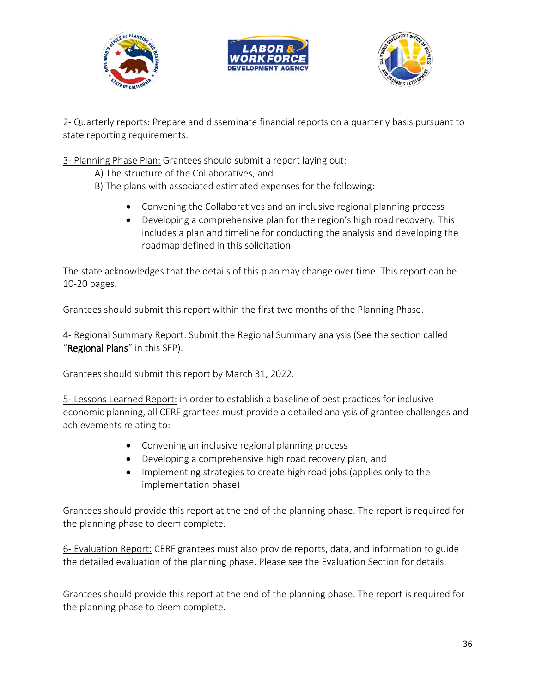





2- Quarterly reports: Prepare and disseminate financial reports on a quarterly basis pursuant to state reporting requirements.

3- Planning Phase Plan: Grantees should submit a report laying out:

A) The structure of the Collaboratives, and

B) The plans with associated estimated expenses for the following:

- Convening the Collaboratives and an inclusive regional planning process
- Developing a comprehensive plan for the region's high road recovery. This includes a plan and timeline for conducting the analysis and developing the roadmap defined in this solicitation.

The state acknowledges that the details of this plan may change over time. This report can be 10-20 pages.

Grantees should submit this report within the first two months of the Planning Phase.

4- Regional Summary Report: Submit the Regional Summary analysis (See the section called "Regional Plans" in this SFP).

Grantees should submit this report by March 31, 2022.

5- Lessons Learned Report: in order to establish a baseline of best practices for inclusive economic planning, all CERF grantees must provide a detailed analysis of grantee challenges and achievements relating to:

- Convening an inclusive regional planning process
- Developing a comprehensive high road recovery plan, and
- Implementing strategies to create high road jobs (applies only to the implementation phase)

Grantees should provide this report at the end of the planning phase. The report is required for the planning phase to deem complete.

6- Evaluation Report: CERF grantees must also provide reports, data, and information to guide the detailed evaluation of the planning phase. Please see the Evaluation Section for details.

Grantees should provide this report at the end of the planning phase. The report is required for the planning phase to deem complete.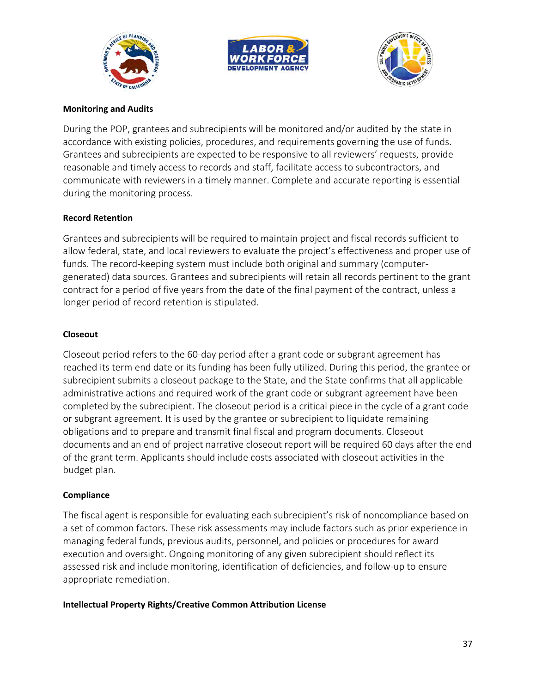





#### **Monitoring and Audits**

During the POP, grantees and subrecipients will be monitored and/or audited by the state in accordance with existing policies, procedures, and requirements governing the use of funds. Grantees and subrecipients are expected to be responsive to all reviewers' requests, provide reasonable and timely access to records and staff, facilitate access to subcontractors, and communicate with reviewers in a timely manner. Complete and accurate reporting is essential during the monitoring process.

#### **Record Retention**

Grantees and subrecipients will be required to maintain project and fiscal records sufficient to allow federal, state, and local reviewers to evaluate the project's effectiveness and proper use of funds. The record-keeping system must include both original and summary (computergenerated) data sources. Grantees and subrecipients will retain all records pertinent to the grant contract for a period of five years from the date of the final payment of the contract, unless a longer period of record retention is stipulated.

#### **Closeout**

Closeout period refers to the 60-day period after a grant code or subgrant agreement has reached its term end date or its funding has been fully utilized. During this period, the grantee or subrecipient submits a closeout package to the State, and the State confirms that all applicable administrative actions and required work of the grant code or subgrant agreement have been completed by the subrecipient. The closeout period is a critical piece in the cycle of a grant code or subgrant agreement. It is used by the grantee or subrecipient to liquidate remaining obligations and to prepare and transmit final fiscal and program documents. Closeout documents and an end of project narrative closeout report will be required 60 days after the end of the grant term. Applicants should include costs associated with closeout activities in the budget plan.

#### **Compliance**

The fiscal agent is responsible for evaluating each subrecipient's risk of noncompliance based on a set of common factors. These risk assessments may include factors such as prior experience in managing federal funds, previous audits, personnel, and policies or procedures for award execution and oversight. Ongoing monitoring of any given subrecipient should reflect its assessed risk and include monitoring, identification of deficiencies, and follow-up to ensure appropriate remediation.

#### **Intellectual Property Rights/Creative Common Attribution License**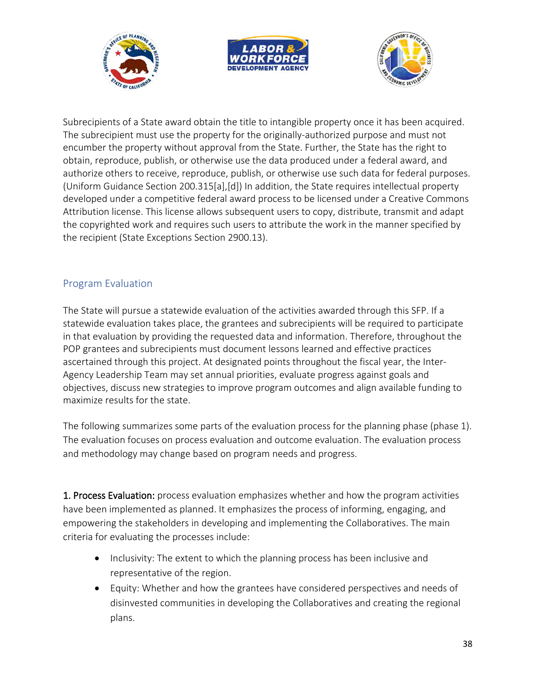





Subrecipients of a State award obtain the title to intangible property once it has been acquired. The subrecipient must use the property for the originally-authorized purpose and must not encumber the property without approval from the State. Further, the State has the right to obtain, reproduce, publish, or otherwise use the data produced under a federal award, and authorize others to receive, reproduce, publish, or otherwise use such data for federal purposes. (Uniform Guidance Section 200.315[a],[d]) In addition, the State requires intellectual property developed under a competitive federal award process to be licensed under a Creative Commons Attribution license. This license allows subsequent users to copy, distribute, transmit and adapt the copyrighted work and requires such users to attribute the work in the manner specified by the recipient (State Exceptions Section 2900.13).

# <span id="page-37-0"></span>Program Evaluation

The State will pursue a statewide evaluation of the activities awarded through this SFP. If a statewide evaluation takes place, the grantees and subrecipients will be required to participate in that evaluation by providing the requested data and information. Therefore, throughout the POP grantees and subrecipients must document lessons learned and effective practices ascertained through this project. At designated points throughout the fiscal year, the Inter-Agency Leadership Team may set annual priorities, evaluate progress against goals and objectives, discuss new strategies to improve program outcomes and align available funding to maximize results for the state.

The following summarizes some parts of the evaluation process for the planning phase (phase 1). The evaluation focuses on process evaluation and outcome evaluation. The evaluation process and methodology may change based on program needs and progress.

1. Process Evaluation: process evaluation emphasizes whether and how the program activities have been implemented as planned. It emphasizes the process of informing, engaging, and empowering the stakeholders in developing and implementing the Collaboratives. The main criteria for evaluating the processes include:

- Inclusivity: The extent to which the planning process has been inclusive and representative of the region.
- Equity: Whether and how the grantees have considered perspectives and needs of disinvested communities in developing the Collaboratives and creating the regional plans.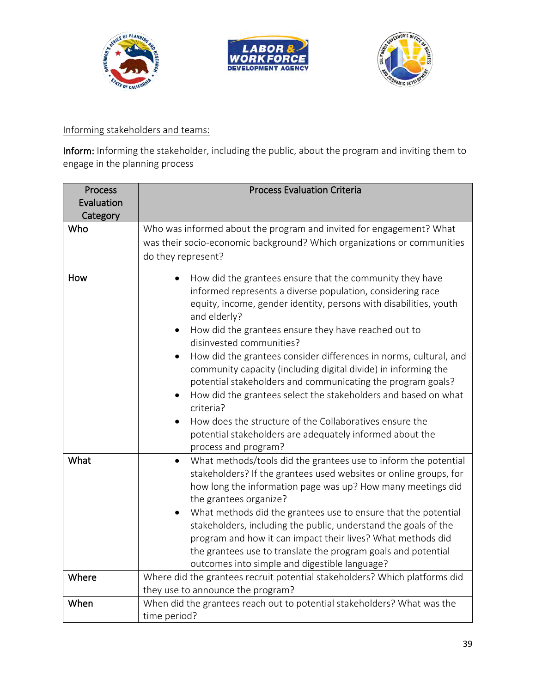





# Informing stakeholders and teams:

Inform: Informing the stakeholder, including the public, about the program and inviting them to engage in the planning process

| <b>Process</b><br>Evaluation | <b>Process Evaluation Criteria</b>                                                                                                                                                                                                                                                                                                                                                                                                                                                                                                                                                                                                                           |
|------------------------------|--------------------------------------------------------------------------------------------------------------------------------------------------------------------------------------------------------------------------------------------------------------------------------------------------------------------------------------------------------------------------------------------------------------------------------------------------------------------------------------------------------------------------------------------------------------------------------------------------------------------------------------------------------------|
| Category                     |                                                                                                                                                                                                                                                                                                                                                                                                                                                                                                                                                                                                                                                              |
| Who                          | Who was informed about the program and invited for engagement? What<br>was their socio-economic background? Which organizations or communities<br>do they represent?                                                                                                                                                                                                                                                                                                                                                                                                                                                                                         |
| How                          | How did the grantees ensure that the community they have<br>$\bullet$<br>informed represents a diverse population, considering race<br>equity, income, gender identity, persons with disabilities, youth<br>and elderly?<br>How did the grantees ensure they have reached out to<br>disinvested communities?<br>How did the grantees consider differences in norms, cultural, and<br>community capacity (including digital divide) in informing the<br>potential stakeholders and communicating the program goals?<br>How did the grantees select the stakeholders and based on what<br>criteria?<br>How does the structure of the Collaboratives ensure the |
|                              | potential stakeholders are adequately informed about the                                                                                                                                                                                                                                                                                                                                                                                                                                                                                                                                                                                                     |
|                              | process and program?                                                                                                                                                                                                                                                                                                                                                                                                                                                                                                                                                                                                                                         |
| What                         | What methods/tools did the grantees use to inform the potential<br>$\bullet$<br>stakeholders? If the grantees used websites or online groups, for<br>how long the information page was up? How many meetings did<br>the grantees organize?                                                                                                                                                                                                                                                                                                                                                                                                                   |
|                              | What methods did the grantees use to ensure that the potential<br>stakeholders, including the public, understand the goals of the<br>program and how it can impact their lives? What methods did<br>the grantees use to translate the program goals and potential                                                                                                                                                                                                                                                                                                                                                                                            |
|                              | outcomes into simple and digestible language?                                                                                                                                                                                                                                                                                                                                                                                                                                                                                                                                                                                                                |
| Where                        | Where did the grantees recruit potential stakeholders? Which platforms did<br>they use to announce the program?                                                                                                                                                                                                                                                                                                                                                                                                                                                                                                                                              |
| When                         | When did the grantees reach out to potential stakeholders? What was the<br>time period?                                                                                                                                                                                                                                                                                                                                                                                                                                                                                                                                                                      |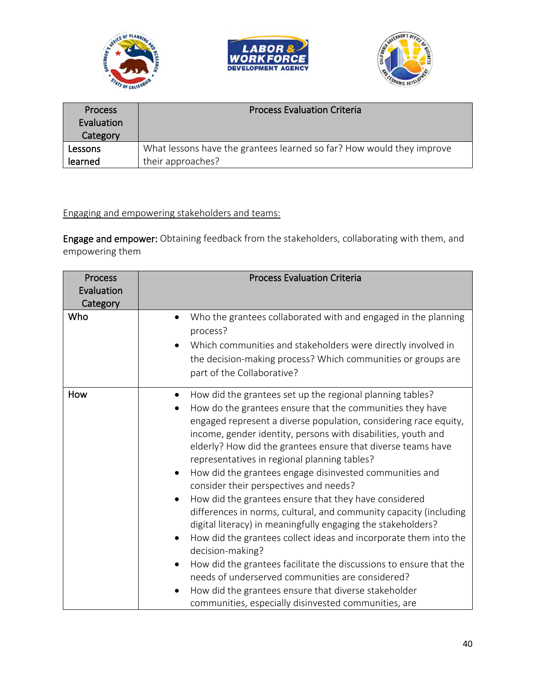





| <b>Process</b><br>Evaluation<br>Category | <b>Process Evaluation Criteria</b>                                    |
|------------------------------------------|-----------------------------------------------------------------------|
| Lessons                                  | What lessons have the grantees learned so far? How would they improve |
| learned                                  | their approaches?                                                     |

# Engaging and empowering stakeholders and teams:

Engage and empower: Obtaining feedback from the stakeholders, collaborating with them, and empowering them

| <b>Process</b><br>Evaluation<br>Category | <b>Process Evaluation Criteria</b>                                                                                                                                                                                                                                                                                                                                                                                                                                                                                                                                                                                                                                                                                                                                                                                                                                                                                                                                                                               |
|------------------------------------------|------------------------------------------------------------------------------------------------------------------------------------------------------------------------------------------------------------------------------------------------------------------------------------------------------------------------------------------------------------------------------------------------------------------------------------------------------------------------------------------------------------------------------------------------------------------------------------------------------------------------------------------------------------------------------------------------------------------------------------------------------------------------------------------------------------------------------------------------------------------------------------------------------------------------------------------------------------------------------------------------------------------|
| Who                                      | Who the grantees collaborated with and engaged in the planning<br>process?<br>Which communities and stakeholders were directly involved in<br>the decision-making process? Which communities or groups are<br>part of the Collaborative?                                                                                                                                                                                                                                                                                                                                                                                                                                                                                                                                                                                                                                                                                                                                                                         |
| How                                      | How did the grantees set up the regional planning tables?<br>How do the grantees ensure that the communities they have<br>engaged represent a diverse population, considering race equity,<br>income, gender identity, persons with disabilities, youth and<br>elderly? How did the grantees ensure that diverse teams have<br>representatives in regional planning tables?<br>How did the grantees engage disinvested communities and<br>consider their perspectives and needs?<br>How did the grantees ensure that they have considered<br>differences in norms, cultural, and community capacity (including<br>digital literacy) in meaningfully engaging the stakeholders?<br>How did the grantees collect ideas and incorporate them into the<br>decision-making?<br>How did the grantees facilitate the discussions to ensure that the<br>needs of underserved communities are considered?<br>How did the grantees ensure that diverse stakeholder<br>communities, especially disinvested communities, are |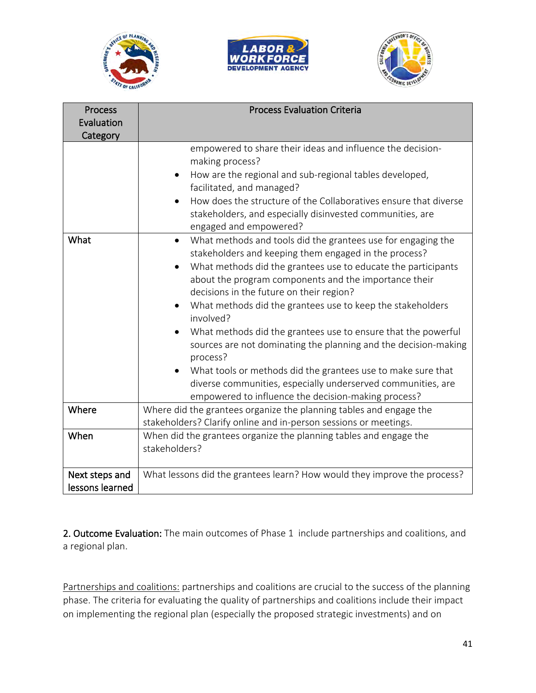





| <b>Process</b>  | <b>Process Evaluation Criteria</b>                                        |
|-----------------|---------------------------------------------------------------------------|
| Evaluation      |                                                                           |
| Category        |                                                                           |
|                 | empowered to share their ideas and influence the decision-                |
|                 | making process?                                                           |
|                 | How are the regional and sub-regional tables developed,                   |
|                 | facilitated, and managed?                                                 |
|                 | How does the structure of the Collaboratives ensure that diverse          |
|                 | stakeholders, and especially disinvested communities, are                 |
|                 | engaged and empowered?                                                    |
| What            | What methods and tools did the grantees use for engaging the<br>$\bullet$ |
|                 | stakeholders and keeping them engaged in the process?                     |
|                 | What methods did the grantees use to educate the participants             |
|                 | about the program components and the importance their                     |
|                 | decisions in the future on their region?                                  |
|                 | What methods did the grantees use to keep the stakeholders<br>involved?   |
|                 | What methods did the grantees use to ensure that the powerful             |
|                 | sources are not dominating the planning and the decision-making           |
|                 | process?                                                                  |
|                 | What tools or methods did the grantees use to make sure that              |
|                 | diverse communities, especially underserved communities, are              |
|                 | empowered to influence the decision-making process?                       |
| Where           | Where did the grantees organize the planning tables and engage the        |
|                 | stakeholders? Clarify online and in-person sessions or meetings.          |
| When            | When did the grantees organize the planning tables and engage the         |
|                 | stakeholders?                                                             |
|                 |                                                                           |
| Next steps and  | What lessons did the grantees learn? How would they improve the process?  |
| lessons learned |                                                                           |

2. Outcome Evaluation: The main outcomes of Phase 1 include partnerships and coalitions, and a regional plan.

Partnerships and coalitions: partnerships and coalitions are crucial to the success of the planning phase. The criteria for evaluating the quality of partnerships and coalitions include their impact on implementing the regional plan (especially the proposed strategic investments) and on